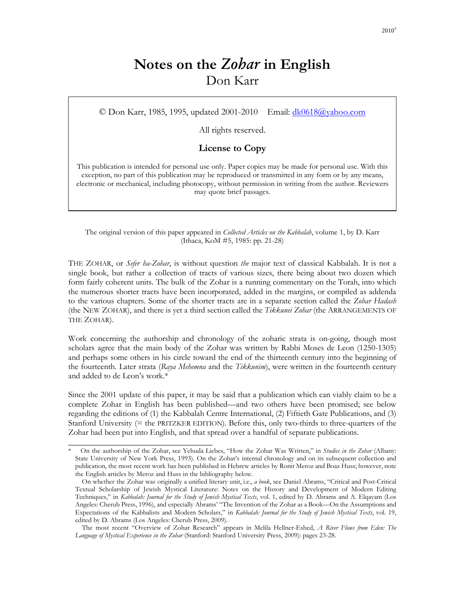# **Notes on the** *Zohar* **in English**  Don Karr

© Don Karr, 1985, 1995, updated 2001-2010 Email: dk0618@yahoo.com

All rights reserved.

### **License to Copy**

This publication is intended for personal use only. Paper copies may be made for personal use. With this exception, no part of this publication may be reproduced or transmitted in any form or by any means, electronic or mechanical, including photocopy, without permission in writing from the author. Reviewers may quote brief passages.

The original version of this paper appeared in *Collected Articles on the Kabbalah*, volume 1, by D. Karr (Ithaca, KoM #5, 1985: pp. 21-28)

THE ZOHAR, or *Sefer ha-Zohar*, is without question *the* major text of classical Kabbalah. It is not a single book, but rather a collection of tracts of various sizes, there being about two dozen which form fairly coherent units. The bulk of the Zohar is a running commentary on the Torah, into which the numerous shorter tracts have been incorporated, added in the margins, or compiled as addenda to the various chapters. Some of the shorter tracts are in a separate section called the *Zohar Hadash* (the NEW ZOHAR), and there is yet a third section called the *Tikkunei Zohar* (the ARRANGEMENTS OF THE ZOHAR).

Work concerning the authorship and chronology of the zoharic strata is on-going, though most scholars agree that the main body of the Zohar was written by Rabbi Moses de Leon (1250-1305) and perhaps some others in his circle toward the end of the thirteenth century into the beginning of the fourteenth. Later strata (*Raya Mehemna* and the *Tikkunim*), were written in the fourteenth century and added to de Leon's work.\*

Since the 2001 update of this paper, it may be said that a publication which can viably claim to be a complete Zohar in English has been published—and two others have been promised; see below regarding the editions of (1) the Kabbalah Centre International, (2) Fiftieth Gate Publications, and (3) Stanford University (= the PRITZKER EDITION). Before this, only two-thirds to three-quarters of the Zohar had been put into English, and that spread over a handful of separate publications.

\_\_\_\_\_\_\_\_\_\_\_\_\_\_\_\_\_\_\_\_\_\_\_\_\_\_\_\_\_\_\_\_\_

<sup>\*</sup> On the authorship of the Zohar, see Yehuda Liebes, "How the Zohar Was Written," in *Studies in the Zohar* (Albany: State University of New York Press, 1993). On the Zohar's internal chronology and on its subsequent collection and publication, the most recent work has been published in Hebrew articles by Ronit Meroz and Boaz Huss; however, note the English articles by Meroz and Huss in the bibliography below.

On whether the Zohar was originally a unified literary unit, i.e., *a book*, see Daniel Abrams, "Critical and Post-Critical Textual Scholarship of Jewish Mystical Literature: Notes on the History and Development of Modern Editing Techniques," in *Kabbalah: Journal for the Study of Jewish Mystical Texts*, vol. 1, edited by D. Abrams and A. Elqayam (Los Angeles: Cherub Press, 1996), and especially Abrams' "The Invention of the Zohar as a Book—On the Assumptions and Expectations of the Kabbalists and Modern Scholars," in *Kabbalah: Journal for the Study of Jewish Mystical Texts*, vol. 19, edited by D. Abrams (Los Angeles: Cherub Press, 2009).

The most recent "Overview of Zohar Research" appears in Melila Hellner-Eshed, *A River Flows from Eden: The Language of Mystical Experience in the Zohar* (Stanford: Stanford University Press, 2009): pages 23-28.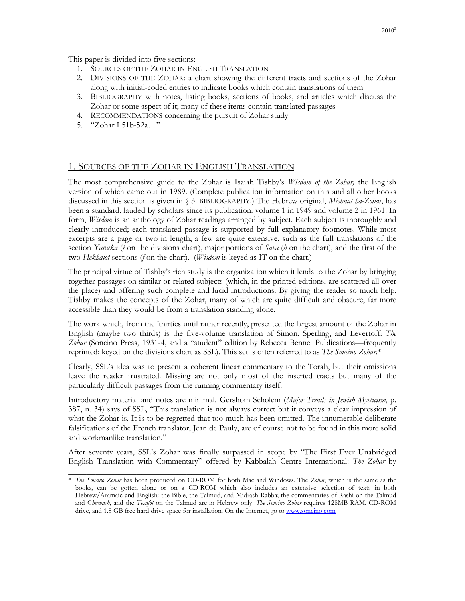This paper is divided into five sections:

- 1. SOURCES OF THE ZOHAR IN ENGLISH TRANSLATION
- 2. DIVISIONS OF THE ZOHAR: a chart showing the different tracts and sections of the Zohar along with initial-coded entries to indicate books which contain translations of them
- 3. BIBLIOGRAPHY with notes, listing books, sections of books, and articles which discuss the Zohar or some aspect of it; many of these items contain translated passages
- 4. RECOMMENDATIONS concerning the pursuit of Zohar study
- 5. "Zohar I 51b-52a…"

### 1. SOURCES OF THE ZOHAR IN ENGLISH TRANSLATION

The most comprehensive guide to the Zohar is Isaiah Tishby's *Wisdom of the Zohar,* the English version of which came out in 1989. (Complete publication information on this and all other books discussed in this section is given in § 3. BIBLIOGRAPHY.) The Hebrew original, *Mishnat ha-Zohar*, has been a standard, lauded by scholars since its publication: volume 1 in 1949 and volume 2 in 1961. In form, *Wisdom* is an anthology of Zohar readings arranged by subject. Each subject is thoroughly and clearly introduced; each translated passage is supported by full explanatory footnotes. While most excerpts are a page or two in length, a few are quite extensive, such as the full translations of the section *Yanuka* (*i* on the divisions chart), major portions of *Sava* (*h* on the chart), and the first of the two *Hekhalot* sections (*f* on the chart). (*Wisdom* is keyed as IT on the chart.)

The principal virtue of Tishby's rich study is the organization which it lends to the Zohar by bringing together passages on similar or related subjects (which, in the printed editions, are scattered all over the place) and offering such complete and lucid introductions. By giving the reader so much help, Tishby makes the concepts of the Zohar, many of which are quite difficult and obscure, far more accessible than they would be from a translation standing alone.

The work which, from the 'thirties until rather recently, presented the largest amount of the Zohar in English (maybe two thirds) is the five-volume translation of Simon, Sperling, and Levertoff: *The Zohar* (Soncino Press, 1931-4, and a "student" edition by Rebecca Bennet Publications—frequently reprinted; keyed on the divisions chart as SSL). This set is often referred to as *The Soncino Zohar*.\*

Clearly, SSL's idea was to present a coherent linear commentary to the Torah, but their omissions leave the reader frustrated. Missing are not only most of the inserted tracts but many of the particularly difficult passages from the running commentary itself.

Introductory material and notes are minimal. Gershom Scholem (*Major Trends in Jewish Mysticism*, p. 387, n. 34) says of SSL, "This translation is not always correct but it conveys a clear impression of what the Zohar is. It is to be regretted that too much has been omitted. The innumerable deliberate falsifications of the French translator, Jean de Pauly, are of course not to be found in this more solid and workmanlike translation."

After seventy years, SSL's Zohar was finally surpassed in scope by "The First Ever Unabridged English Translation with Commentary" offered by Kabbalah Centre International: *The Zohar* by

 $\overline{\phantom{a}}$  , where  $\overline{\phantom{a}}$  , where  $\overline{\phantom{a}}$  , where  $\overline{\phantom{a}}$ 

<sup>\*</sup> *The Soncino Zohar* has been produced on CD-ROM for both Mac and Windows. The *Zohar*, which is the same as the books, can be gotten alone or on a CD-ROM which also includes an extensive selection of texts in both Hebrew/Aramaic and English: the Bible, the Talmud, and Midrash Rabba; the commentaries of Rashi on the Talmud and C*humash*, and the *Tosafot* on the Talmud are in Hebrew only. *The Soncino Zohar* requires 128MB RAM, CD-ROM drive, and 1.8 GB free hard drive space for installation. On the Internet, go to www.soncino.com.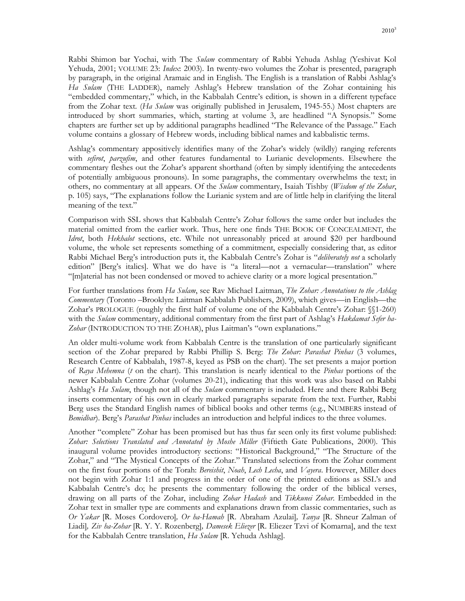Rabbi Shimon bar Yochai, with The *Sulam* commentary of Rabbi Yehuda Ashlag (Yeshivat Kol Yehuda, 2001; VOLUME 23: *Index*: 2003). In twenty-two volumes the Zohar is presented, paragraph by paragraph, in the original Aramaic and in English. The English is a translation of Rabbi Ashlag's *Ha Sulam* (THE LADDER), namely Ashlag's Hebrew translation of the Zohar containing his "embedded commentary," which, in the Kabbalah Centre's edition, is shown in a different typeface from the Zohar text. (*Ha Sulam* was originally published in Jerusalem, 1945-55.) Most chapters are introduced by short summaries, which, starting at volume 3, are headlined "A Synopsis." Some chapters are further set up by additional paragraphs headlined "The Relevance of the Passage." Each volume contains a glossary of Hebrew words, including biblical names and kabbalistic terms.

Ashlag's commentary appositively identifies many of the Zohar's widely (wildly) ranging referents with *sefirot*, *parzufim*, and other features fundamental to Lurianic developments. Elsewhere the commentary fleshes out the Zohar's apparent shorthand (often by simply identifying the antecedents of potentially ambiguous pronouns). In some paragraphs, the commentary overwhelms the text; in others, no commentary at all appears. Of the *Sulam* commentary, Isaiah Tishby (*Wisdom of the Zohar*, p. 105) says, "The explanations follow the Lurianic system and are of little help in clarifying the literal meaning of the text."

Comparison with SSL shows that Kabbalah Centre's Zohar follows the same order but includes the material omitted from the earlier work. Thus, here one finds THE BOOK OF CONCEALMENT, the *Idrot*, both *Hekhalot* sections, etc. While not unreasonably priced at around \$20 per hardbound volume, the whole set represents something of a commitment, especially considering that, as editor Rabbi Michael Berg's introduction puts it, the Kabbalah Centre's Zohar is "*deliberately not* a scholarly edition" [Berg's italics]. What we do have is "a literal—not a vernacular—translation" where "[m]aterial has not been condensed or moved to achieve clarity or a more logical presentation."

For further translations from *Ha Sulam*, see Rav Michael Laitman, *The Zohar: Annotations to the Ashlag Commentary* (Toronto –Brooklyn: Laitman Kabbalah Publishers, 2009), which gives—in English—the Zohar's PROLOGUE (roughly the first half of volume one of the Kabbalah Centre's Zohar: §§1-260) with the *Sulam* commentary, additional commentary from the first part of Ashlag's *Hakdamat Sefer ha-*Zohar (INTRODUCTION TO THE ZOHAR), plus Laitman's "own explanations."

An older multi-volume work from Kabbalah Centre is the translation of one particularly significant section of the Zohar prepared by Rabbi Phillip S. Berg: *The Zohar: Parashat Pinhas* (3 volumes, Research Centre of Kabbalah, 1987-8, keyed as PSB on the chart). The set presents a major portion of *Raya Mehemna* (*t* on the chart). This translation is nearly identical to the *Pinhas* portions of the newer Kabbalah Centre Zohar (volumes 20-21), indicating that this work was also based on Rabbi Ashlag's *Ha Sulam*, though not all of the *Sulam* commentary is included. Here and there Rabbi Berg inserts commentary of his own in clearly marked paragraphs separate from the text. Further, Rabbi Berg uses the Standard English names of biblical books and other terms (e.g., NUMBERS instead of *Bemidbar*). Berg's *Parashat Pinhas* includes an introduction and helpful indices to the three volumes.

Another "complete" Zohar has been promised but has thus far seen only its first volume published: *Zohar: Selections Translated and Annotated by Moshe Miller* (Fiftieth Gate Publications, 2000). This inaugural volume provides introductory sections: "Historical Background," "The Structure of the Zohar," and "The Mystical Concepts of the Zohar." Translated selections from the Zohar comment on the first four portions of the Torah: *Bereishit*, *Noah*, *Lech Lecha*, and *Vayera*. However, Miller does not begin with Zohar 1:1 and progress in the order of one of the printed editions as SSL's and Kabbalah Centre's do; he presents the commentary following the order of the biblical verses, drawing on all parts of the Zohar, including *Zohar Hadash* and *Tikkunei Zohar*. Embedded in the Zohar text in smaller type are comments and explanations drawn from classic commentaries, such as *Or Yakar* [R. Moses Cordovero]*, Or ha-Hamah* [R. Abraham Azulai]*, Tanya* [R. Shneur Zalman of Liadi]*, Ziv ha-Zohar* [R. Y. Y. Rozenberg]*, Damesek Eliezer* [R. Eliezer Tzvi of Komarna], and the text for the Kabbalah Centre translation, *Ha Sulam* [R. Yehuda Ashlag].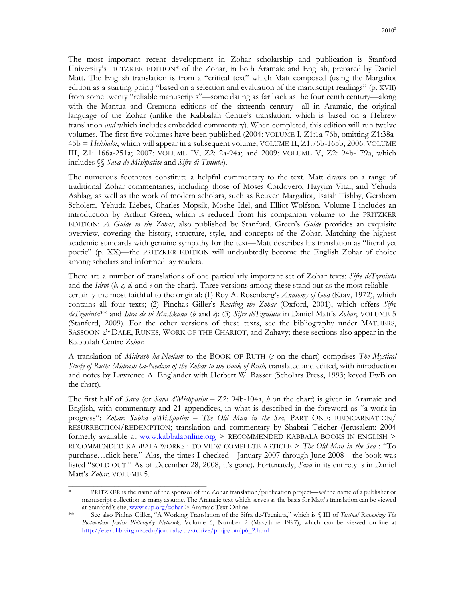The most important recent development in Zohar scholarship and publication is Stanford University's PRITZKER EDITION\* of the Zohar, in both Aramaic and English, prepared by Daniel Matt. The English translation is from a "critical text" which Matt composed (using the Margaliot edition as a starting point) "based on a selection and evaluation of the manuscript readings" (p. XVII) from some twenty "reliable manuscripts"—some dating as far back as the fourteenth century—along with the Mantua and Cremona editions of the sixteenth century—all in Aramaic, the original language of the Zohar (unlike the Kabbalah Centre's translation, which is based on a Hebrew translation *and* which includes embedded commentary). When completed, this edition will run twelve volumes. The first five volumes have been published (2004: VOLUME I, Z1:1a-76b, omitting Z1:38a-45b = *Hekhalot*, which will appear in a subsequent volume; VOLUME II, Z1:76b-165b; 2006: VOLUME III, Z1: 166a-251a; 2007: VOLUME IV, Z2: 2a-94a; and 2009: VOLUME V, Z2: 94b-179a, which includes §§ *Sava de-Mishpatim* and *Sifre di-Tsniuta*).

The numerous footnotes constitute a helpful commentary to the text. Matt draws on a range of traditional Zohar commentaries, including those of Moses Cordovero, Hayyim Vital, and Yehuda Ashlag, as well as the work of modern scholars, such as Reuven Margaliot, Isaiah Tishby, Gershom Scholem, Yehuda Liebes, Charles Mopsik, Moshe Idel, and Elliot Wolfson. Volume I includes an introduction by Arthur Green, which is reduced from his companion volume to the PRITZKER EDITION: *A Guide to the Zohar*, also published by Stanford. Green's *Guide* provides an exquisite overview, covering the history, structure, style, and concepts of the Zohar. Matching the highest academic standards with genuine sympathy for the text—Matt describes his translation as "literal yet poetic" (p. XX)—the PRITZKER EDITION will undoubtedly become the English Zohar of choice among scholars and informed lay readers.

There are a number of translations of one particularly important set of Zohar texts: *Sifre deTzeniuta* and the *Idrot* (*b, c, d,* and *e* on the chart). Three versions among these stand out as the most reliable certainly the most faithful to the original: (1) Roy A. Rosenberg's *Anatomy of God* (Ktav, 1972), which contains all four texts; (2) Pinchas Giller's *Reading the Zohar* (Oxford, 2001), which offers *Sifre deTzeniuta*\*\* and *Idra de bi Mashkana* (*b* and *e*); (3) *Sifre deTzeniuta* in Daniel Matt's *Zohar*, VOLUME 5 (Stanford, 2009). For the other versions of these texts, see the bibliography under MATHERS, SASSOON  $\mathscr{O}$  DALE, RUNES, WORK OF THE CHARIOT, and Zahavy; these sections also appear in the Kabbalah Centre *Zohar*.

A translation of *Midrash ha-Neelam* to the BOOK OF RUTH (*s* on the chart) comprises *The Mystical Study of Ruth: Midrash ha-Neelam of the Zohar to the Book of Ruth, translated and edited, with introduction* and notes by Lawrence A. Englander with Herbert W. Basser (Scholars Press, 1993; keyed EwB on the chart).

The first half of *Sava* (or *Sava d'Mishpatim* – Z2: 94b-104a, *h* on the chart) is given in Aramaic and English, with commentary and 21 appendices, in what is described in the foreword as "a work in progress": *Zohar: Sabba d'Mishpatim – The Old Man in the Sea*, PART ONE: REINCARNATION/ RESURRECTION/REDEMPTION; translation and commentary by Shabtai Teicher (Jerusalem: 2004 formerly available at www.kabbalaonline.org > RECOMMENDED KABBALA BOOKS IN ENGLISH > RECOMMENDED KABBALA WORKS : TO VIEW COMPLETE ARTICLE > *The Old Man in the Sea* : "To purchase…click here." Alas, the times I checked—January 2007 through June 2008—the book was listed "SOLD OUT." As of December 28, 2008, it's gone). Fortunately, *Sava* in its entirety is in Daniel Matt's *Zohar*, VOLUME 5.

 $\overline{\phantom{a}}$  , where  $\overline{\phantom{a}}$  , where  $\overline{\phantom{a}}$  , where  $\overline{\phantom{a}}$ 

<sup>\*</sup> PRITZKER is the name of the sponsor of the Zohar translation/publication project—*not* the name of a publisher or manuscript collection as many assume. The Aramaic text which serves as the basis for Matt's translation can be viewed at Stanford's site, www.sup.org/zohar > Aramaic Text Online.

<sup>\*\*</sup> See also Pinhas Giller, "A Working Translation of the Sifra de-Tzeniuta," which is § III of *Textual Reasoning: The Postmodern Jewish Philosophy Network*, Volume 6, Number 2 (May/June 1997), which can be viewed on-line at http://etext.lib.virginia.edu/journals/tr/archive/pmjp/pmjp6\_2.html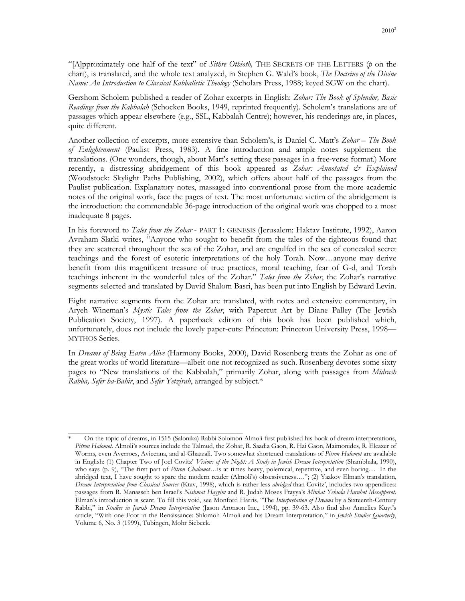"[A]pproximately one half of the text" of *Sithre Othioth,* THE SECRETS OF THE LETTERS (*p* on the chart), is translated, and the whole text analyzed, in Stephen G. Wald's book, *The Doctrine of the Divine Name: An Introduction to Classical Kabbalistic Theology* (Scholars Press, 1988; keyed SGW on the chart).

Gershom Scholem published a reader of Zohar excerpts in English: *Zohar: The Book of Splendor, Basic Readings from the Kabbalah* (Schocken Books, 1949, reprinted frequently). Scholem's translations are of passages which appear elsewhere (e.g., SSL, Kabbalah Centre); however, his renderings are, in places, quite different.

Another collection of excerpts, more extensive than Scholem's, is Daniel C. Matt's *Zohar – The Book of Enlightenment* (Paulist Press, 1983). A fine introduction and ample notes supplement the translations. (One wonders, though, about Matt's setting these passages in a free-verse format.) More recently, a distressing abridgement of this book appeared as *Zohar: Annotated & Explained* (Woodstock: Skylight Paths Publishing, 2002), which offers about half of the passages from the Paulist publication. Explanatory notes, massaged into conventional prose from the more academic notes of the original work, face the pages of text. The most unfortunate victim of the abridgement is the introduction: the commendable 36-page introduction of the original work was chopped to a most inadequate 8 pages.

In his foreword to *Tales from the Zohar* - PART 1: GENESIS (Jerusalem: Haktav Institute, 1992), Aaron Avraham Slatki writes, "Anyone who sought to benefit from the tales of the righteous found that they are scattered throughout the sea of the Zohar, and are engulfed in the sea of concealed secret teachings and the forest of esoteric interpretations of the holy Torah. Now…anyone may derive benefit from this magnificent treasure of true practices, moral teaching, fear of G-d, and Torah teachings inherent in the wonderful tales of the Zohar." *Tales from the Zohar*, the Zohar's narrative segments selected and translated by David Shalom Basri, has been put into English by Edward Levin.

Eight narrative segments from the Zohar are translated, with notes and extensive commentary, in Aryeh Wineman's *Mystic Tales from the Zohar*, with Papercut Art by Diane Palley (The Jewish Publication Society, 1997). A paperback edition of this book has been published which, unfortunately, does not include the lovely paper-cuts: Princeton: Princeton University Press, 1998— MYTHOS Series.

In *Dreams of Being Eaten Alive* (Harmony Books, 2000), David Rosenberg treats the Zohar as one of the great works of world literature—albeit one not recognized as such. Rosenberg devotes some sixty pages to "New translations of the Kabbalah," primarily Zohar, along with passages from *Midrash Rabba, Sefer ha-Bahir*, and *Sefer Yetzirah*, arranged by subject.\*

\_\_\_\_\_\_\_\_\_\_\_\_\_\_\_\_\_\_\_\_\_\_\_\_\_\_\_\_\_\_\_\_\_ \* On the topic of dreams, in 1515 (Salonika) Rabbi Solomon Almoli first published his book of dream interpretations, *Pitron Halomot*. Almoli's sources include the Talmud, the Zohar, R. Saadia Gaon, R. Hai Gaon, Maimonides, R. Eleazer of Worms, even Averroes, Avicenna, and al-Ghazzali. Two somewhat shortened translations of *Pitron Halomot* are available in English: (1) Chapter Two of Joel Covitz' *Visions of the Night: A Study in Jewish Dream Interpretation* (Shambhala, 1990), who says (p. 9), "The first part of *Pitron Chalomot*…is at times heavy, polemical, repetitive, and even boring… In the abridged text, I have sought to spare the modern reader (Almoli's) obsessiveness…."; (2) Yaakov Elman's translation, *Dream Interpretation from Classical Sources* (Ktav, 1998), which is rather less *abridged* than Covitz', includes two appendices: passages from R. Manasseh ben Israel's *Nishmat Hayyim* and R. Judah Moses Ftayya's *Minhat Yehuda Haruhot Mesapperot*. Elman's introduction is scant. To fill this void, see Monford Harris, "The *Interpretation of Dreams* by a Sixteenth-Century Rabbi," in *Studies in Jewish Dream Interpretation* (Jason Aronson Inc., 1994), pp. 39-63. Also find also Annelies Kuyt's article, "With one Foot in the Renaissance: Shlomoh Almoli and his Dream Interpretation," in *Jewish Studies Quarterly*, Volume 6, No. 3 (1999), Tübingen, Mohr Siebeck.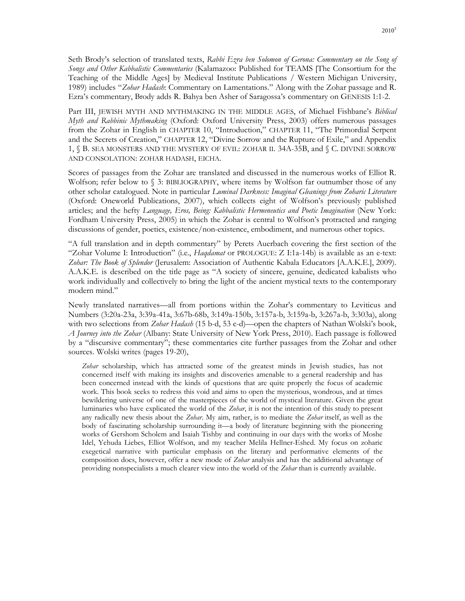Seth Brody's selection of translated texts, *Rabbi Ezra ben Solomon of Gerona: Commentary on the Song of Songs and Other Kabbalistic Commentaries* (Kalamazoo: Published for TEAMS [The Consortium for the Teaching of the Middle Ages] by Medieval Institute Publications / Western Michigan University, 1989) includes "*Zohar Hadash*: Commentary on Lamentations." Along with the Zohar passage and R. Ezra's commentary, Brody adds R. Bahya ben Asher of Saragossa's commentary on GENESIS 1:1-2.

Part III, JEWISH MYTH AND MYTHMAKING IN THE MIDDLE AGES, of Michael Fishbane's *Biblical Myth and Rabbinic Mythmaking* (Oxford: Oxford University Press, 2003) offers numerous passages from the Zohar in English in CHAPTER 10, "Introduction," CHAPTER 11, "The Primordial Serpent and the Secrets of Creation," CHAPTER 12, "Divine Sorrow and the Rupture of Exile," and Appendix 1, § B. SEA MONSTERS AND THE MYSTERY OF EVIL: ZOHAR II. 34A-35B, and § C. DIVINE SORROW AND CONSOLATION: ZOHAR HADASH, EICHA.

Scores of passages from the Zohar are translated and discussed in the numerous works of Elliot R. Wolfson; refer below to  $\S$  3: BIBLIOGRAPHY, where items by Wolfson far outnumber those of any other scholar catalogued. Note in particular *Luminal Darkness: Imaginal Gleanings from Zoharic Literature*  (Oxford: Oneworld Publications, 2007), which collects eight of Wolfson's previously published articles; and the hefty *Language, Eros, Being: Kabbalistic Hermeneutics and Poetic Imagination* (New York: Fordham University Press, 2005) in which the Zohar is central to Wolfson's protracted and ranging discussions of gender, poetics, existence/non-existence, embodiment, and numerous other topics.

"A full translation and in depth commentary" by Perets Auerbach covering the first section of the "Zohar Volume I: Introduction" (i.e., *Haqdamat* or PROLOGUE: Z I:1a-14b) is available as an e-text: *Zohar: The Book of Splendor* (Jerusalem: Association of Authentic Kabala Educators [A.A.K.E.], 2009). A.A.K.E. is described on the title page as "A society of sincere, genuine, dedicated kabalists who work individually and collectively to bring the light of the ancient mystical texts to the contemporary modern mind."

Newly translated narratives—all from portions within the Zohar's commentary to Leviticus and Numbers (3:20a-23a, 3:39a-41a, 3:67b-68b, 3:149a-150b, 3:157a-b, 3:159a-b, 3:267a-b, 3:303a), along with two selections from *Zohar Hadash* (15 b-d, 53 c-d)—open the chapters of Nathan Wolski's book, *A Journey into the Zohar* (Albany: State University of New York Press, 2010). Each passage is followed by a "discursive commentary"; these commentaries cite further passages from the Zohar and other sources. Wolski writes (pages 19-20),

*Zohar* scholarship, which has attracted some of the greatest minds in Jewish studies, has not concerned itself with making its insights and discoveries amenable to a general readership and has been concerned instead with the kinds of questions that are quite properly the focus of academic work. This book seeks to redress this void and aims to open the mysterious, wondrous, and at times bewildering universe of one of the masterpieces of the world of mystical literature. Given the great luminaries who have explicated the world of the *Zohar*, it is not the intention of this study to present any radically new thesis about the *Zohar*. My aim, rather, is to mediate the *Zohar* itself, as well as the body of fascinating scholarship surrounding it—a body of literature beginning with the pioneering works of Gershom Scholem and Isaiah Tishby and continuing in our days with the works of Moshe Idel, Yehuda Liebes, Elliot Wolfson, and my teacher Melila Hellner-Eshed. My focus on zoharic exegetical narrative with particular emphasis on the literary and performative elements of the composition does, however, offer a new mode of *Zohar* analysis and has the additional advantage of providing nonspecialists a much clearer view into the world of the *Zohar* than is currently available.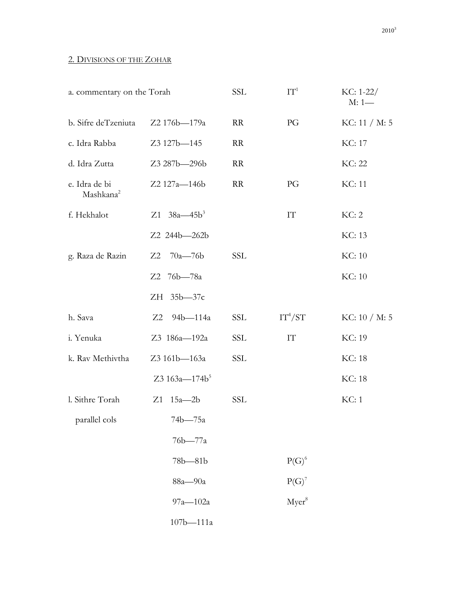## 2. DIVISIONS OF THE ZOHAR

| a. commentary on the Torah             |                           | <b>SSL</b> | $IT^1$                 | $KC: 1-22/$<br>$M: 1$ — |
|----------------------------------------|---------------------------|------------|------------------------|-------------------------|
| b. Sifre deTzeniuta                    | Z2 176b-179a              | <b>RR</b>  | PG                     | KC: 11 / M: 5           |
| c. Idra Rabba                          | Z3 127b-145               | <b>RR</b>  |                        | <b>KC: 17</b>           |
| d. Idra Zutta                          | Z3 287b-296b              | <b>RR</b>  |                        | KC: 22                  |
| e. Idra de bi<br>Mashkana <sup>2</sup> | Z2 127a-146b              | <b>RR</b>  | PG                     | KC: 11                  |
| f. Hekhalot                            | Z1 $38a - 45b^3$          |            | IT                     | KC: 2                   |
|                                        | Z2 244b-262b              |            |                        | KC: 13                  |
| g. Raza de Razin                       | $70a - 76b$<br>Z2         | <b>SSL</b> |                        | KC: 10                  |
|                                        | 76b—78a<br>Z2             |            |                        | KC: 10                  |
|                                        | $35b - 37c$<br>ZH         |            |                        |                         |
| h. Sava                                | Z2<br>94b-114a            | SSL        | $IT^4/ST$              | KC: 10 / M: 5           |
| i. Yenuka                              | Z3 186a-192a              | <b>SSL</b> | $\mathop{\mathrm{IT}}$ | KC: 19                  |
| k. Rav Methivtha                       | Z3 161b-163a              | <b>SSL</b> |                        | KC: 18                  |
|                                        | Z3 163a-174b <sup>5</sup> |            |                        | <b>KC</b> : 18          |
| l. Sithre Torah                        | Z1<br>$15a - 2b$          | <b>SSL</b> |                        | KC: 1                   |
| parallel cols                          | 74b—75a                   |            |                        |                         |
|                                        | 76b-77a                   |            |                        |                         |
|                                        | $78b - 81b$               |            | $P(G)^6$               |                         |
|                                        | 88a-90a                   |            | $P(G)^7$               |                         |
|                                        | $97a - 102a$              |            | Myer <sup>8</sup>      |                         |
|                                        | 107b-111a                 |            |                        |                         |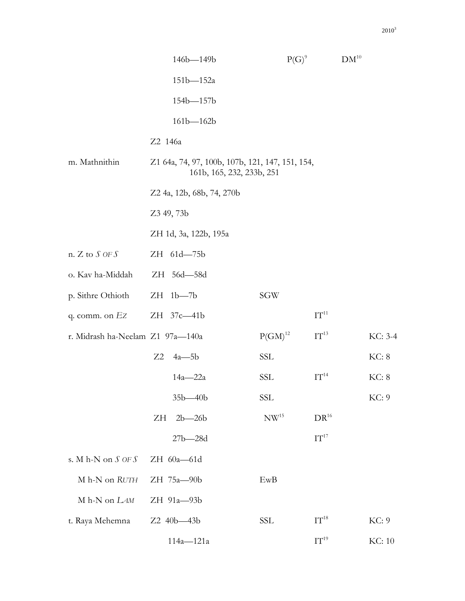|                             | 146b-149b                                                                    | $P(G)^9$ | $DM^{10}$ |
|-----------------------------|------------------------------------------------------------------------------|----------|-----------|
|                             | 151b-152a                                                                    |          |           |
|                             | 154b-157b                                                                    |          |           |
|                             | $161b - 162b$                                                                |          |           |
|                             | Z2 146a                                                                      |          |           |
| m. Mathnithin               | Z1 64a, 74, 97, 100b, 107b, 121, 147, 151, 154,<br>161b, 165, 232, 233b, 251 |          |           |
|                             | Z2 4a, 12b, 68b, 74, 270b                                                    |          |           |
|                             | Z3 49, 73b                                                                   |          |           |
|                             | ZH 1d, 3a, 122b, 195a                                                        |          |           |
| n. $Z$ to $S$ OF $S$        | ZH 61d-75b                                                                   |          |           |
| o Kayba-Middah - 7H 56d—58d |                                                                              |          |           |

| o. Kav ha-Middah                 | ZH 56d-58d         |                  |                  |               |
|----------------------------------|--------------------|------------------|------------------|---------------|
| p. Sithre Othioth                | $ZH$ 1b-7b         | SGW              |                  |               |
| q. comm. on $EZ$                 | ZH 37c-41b         |                  | $IT^{11}$        |               |
| r. Midrash ha-Neelam Z1 97a-140a |                    | $P(GM)^{12}$     | $IT^{13}$        | KC: 3-4       |
|                                  | $Z2 \quad 4a - 5b$ | SSL              |                  | KC: 8         |
|                                  | 14a-22a            | SSL              | $IT^{14}$        | KC: 8         |
|                                  | $35b - 40b$        | SSL              |                  | KC: 9         |
|                                  | ZH<br>$2b - 26b$   | NW <sup>15</sup> | $DR^{16}$        |               |
|                                  | $27b - 28d$        |                  | $IT^{17}$        |               |
| s. M h-N on $S$ OF $S$           | $ZH$ 60a-61d       |                  |                  |               |
| M h-N on RUTH                    | ZH 75a-90b         | EwB              |                  |               |
| M h-N on LAM                     | ZH 91a-93b         |                  |                  |               |
| t. Raya Mehemna                  | Z2 40b-43b         | SSL              | $IT^{18}$        | KC: 9         |
|                                  | $114a - 121a$      |                  | IT <sup>19</sup> | <b>KC: 10</b> |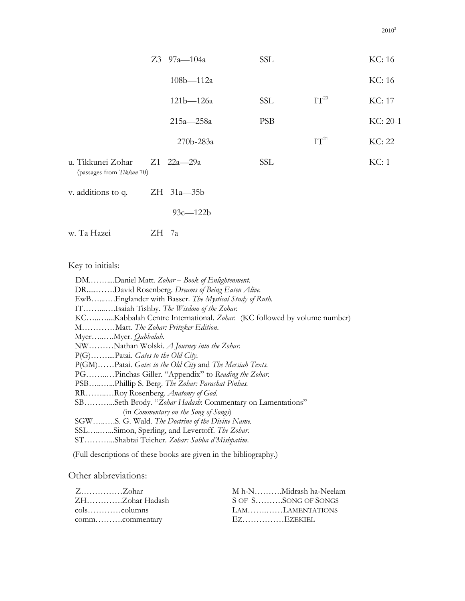|                                                | $Z3$ 97a-104a   | <b>SSL</b> |           | KC: 16   |
|------------------------------------------------|-----------------|------------|-----------|----------|
|                                                | $108b - 112a$   |            |           | KC: 16   |
|                                                | $121b - 126a$   | <b>SSL</b> | $IT^{20}$ | KC: 17   |
|                                                | $215a - 258a$   | <b>PSB</b> |           | KC: 20-1 |
|                                                | 270b-283a       |            | $IT^{21}$ | KC: 22   |
| u. Tikkunei Zohar<br>(passages from Tikkun 70) | Z1 22a—29a      | SSL        |           | KC: 1    |
| v. additions to q.                             | $ZH$ 31a $-35b$ |            |           |          |
|                                                | $93c - 122b$    |            |           |          |

w. Ta Hazei ZH 7a

# Key to initials:

| DMDaniel Matt. Zohar - Book of Enlightenment.                          |
|------------------------------------------------------------------------|
| DRDavid Rosenberg. Dreams of Being Eaten Alive.                        |
| EwBEnglander with Basser. The Mystical Study of Ruth.                  |
| ITIsaiah Tishby. The Wisdom of the Zohar.                              |
| KCKabbalah Centre International. Zohar. (KC followed by volume number) |
| MMatt. The Zohar: Pritzker Edition.                                    |
| MyerMyer. Qabbalah.                                                    |
| NWNathan Wolski. A Journey into the Zohar.                             |
| $P(G)$ Patai. <i>Gates to the Old City</i> .                           |
| P(GM)Patai. Gates to the Old City and The Messiah Texts.               |
| PGPinchas Giller. "Appendix" to Reading the Zohar.                     |
| PSBPhillip S. Berg. The Zohar: Parashat Pinhas.                        |
| RRRoy Rosenberg. Anatomy of God.                                       |
| SBSeth Brody. "Zohar Hadash: Commentary on Lamentations"               |
| (in Commentary on the Song of Songs)                                   |
| SGWS. G. Wald. The Doctrine of the Divine Name.                        |
| SSLSimon, Sperling, and Levertoff. The Zohar.                          |
| STShabtai Teicher. Zohar: Sabba d'Mishpatim.                           |

(Full descriptions of these books are given in the bibliography.)

## Other abbreviations:

| $Z_{\ldots}$ $Z_{\text{ohar}}$ | M h-NMidrash ha-Neelam |
|--------------------------------|------------------------|
| ZHZohar Hadash                 | S OF SSONG OF SONGS    |
|                                | LAMLAMENTATIONS        |
|                                | - EZ. EZEKIEL          |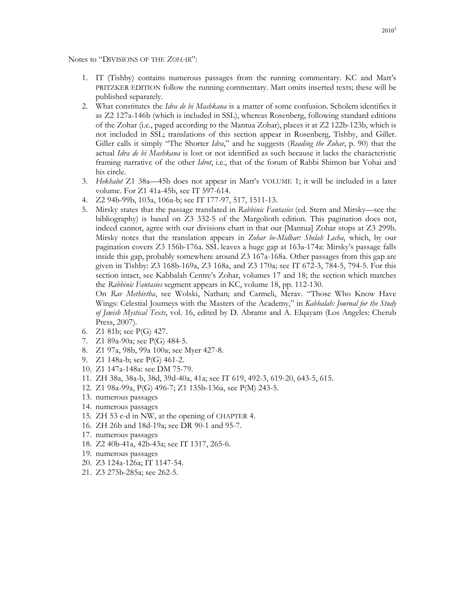Notes to "DIVISIONS OF THE *ZOHAR*":

- 1. IT (Tishby) contains numerous passages from the running commentary. KC and Matt's PRITZKER EDITION follow the running commentary. Matt omits inserted texts; these will be published separately.
- 2. What constitutes the *Idra de bi Mashkana* is a matter of some confusion. Scholem identifies it as Z2 127a-146b (which is included in SSL), whereas Rosenberg, following standard editions of the Zohar (i.e., paged according to the Mantua Zohar), places it at Z2 122b-123b, which is not included in SSL; translations of this section appear in Rosenberg, Tishby, and Giller. Giller calls it simply "The Shorter *Idra*," and he suggests (*Reading the Zohar*, p. 90) that the actual *Idra de bi Mashkana* is lost or not identified as such because it lacks the characteristic framing narrative of the other *Idrot*, i.e., that of the forum of Rabbi Shimon bar Yohai and his circle.
- 3. *Hekhalot* Z1 38a—45b does not appear in Matt's VOLUME 1; it will be included in a later volume. For Z1 41a-45b, see IT 597-614.
- 4. Z2 94b-99b, 103a, 106a-b; see IT 177-97, 517, 1511-13.
- 5. Mirsky states that the passage translated in *Rabbinic Fantasies* (ed. Stern and Mirsky—see the bibliography) is based on Z3 332-5 of the Margolioth edition. This pagination does not, indeed cannot, agree with our divisions chart in that our [Mantua] Zohar stops at Z3 299b. Mirsky notes that the translation appears in *Zohar be-Midbar: Shelah Lecha*, which, by our pagination covers Z3 156b-176a. SSL leaves a huge gap at 163a-174a: Mirsky's passage falls inside this gap, probably somewhere around Z3 167a-168a. Other passages from this gap are given in Tishby: Z3 168b-169a, Z3 168a, and Z3 170a; see IT 672-3, 784-5, 794-5. For this section intact, see Kabbalah Centre's Zohar, volumes 17 and 18; the section which matches the *Rabbinic Fantasies* segment appears in KC, volume 18, pp. 112-130.

On *Rav Methivtha*, see Wolski, Nathan; and Carmeli, Merav. "Those Who Know Have Wings: Celestial Journeys with the Masters of the Academy," in *Kabbalah: Journal for the Study of Jewish Mystical Texts*, vol. 16, edited by D. Abrams and A. Elqayam (Los Angeles: Cherub Press, 2007).

- 6. Z1 81b; see P(G) 427.
- 7. Z1 89a-90a; see P(G) 484-5.
- 8. Z1 97a, 98b, 99a 100a; see Myer 427-8.
- 9. Z1 148a-b; see P(G) 461-2.
- 10. Z1 147a-148a: see DM 75-79.
- 11. ZH 38a, 38a-b, 38d, 39d-40a, 41a; see IT 619, 492-3, 619-20, 643-5, 615.
- 12. Z1 98a-99a, P(G) 496-7; Z1 135b-136a, see P(M) 243-5.
- 13. numerous passages
- 14. numerous passages
- 15. ZH 53 c-d in NW, at the opening of CHAPTER 4.
- 16. ZH 26b and 18d-19a; see DR 90-1 and 95-7.
- 17. numerous passages
- 18. Z2 40b-41a, 42b-43a; see IT 1317, 265-6.
- 19. numerous passages
- 20. Z3 124a-126a; IT 1147-54.
- 21. Z3 275b-285a; see 262-5.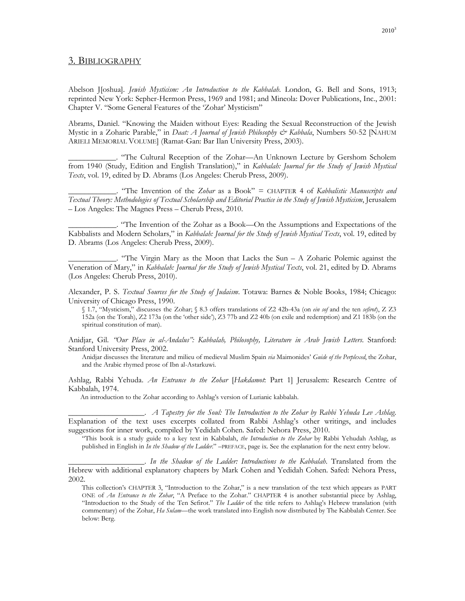#### 3. BIBLIOGRAPHY

Abelson J[oshua]. *Jewish Mysticism: An Introduction to the Kabbalah*. London, G. Bell and Sons, 1913; reprinted New York: Sepher-Hermon Press, 1969 and 1981; and Mineola: Dover Publications, Inc., 2001: Chapter V. "Some General Features of the 'Zohar' Mysticism"

Abrams, Daniel. "Knowing the Maiden without Eyes: Reading the Sexual Reconstruction of the Jewish Mystic in a Zoharic Parable," in *Daat: A Journal of Jewish Philosophy & Kabbala*, Numbers 50-52 [NAHUM ARIELI MEMORIAL VOLUME] (Ramat-Gan: Bar Ilan University Press, 2003).

\_\_\_\_\_\_\_\_\_\_\_\_. "The Cultural Reception of the Zohar—An Unknown Lecture by Gershom Scholem from 1940 (Study, Edition and English Translation)," in *Kabbalah: Journal for the Study of Jewish Mystical Texts*, vol. 19, edited by D. Abrams (Los Angeles: Cherub Press, 2009).

\_\_\_\_\_\_\_\_\_\_\_\_. "The Invention of the *Zohar* as a Book" = CHAPTER 4 of *Kabbalistic Manuscripts and Textual Theory: Methodologies of Textual Scholarship and Editorial Practice in the Study of Jewish Mysticism*, Jerusalem – Los Angeles: The Magnes Press – Cherub Press, 2010.

\_\_\_\_\_\_\_\_\_\_\_\_. "The Invention of the Zohar as a Book—On the Assumptions and Expectations of the Kabbalists and Modern Scholars," in *Kabbalah: Journal for the Study of Jewish Mystical Texts*, vol. 19, edited by D. Abrams (Los Angeles: Cherub Press, 2009).

\_\_\_\_\_\_\_\_\_\_\_\_. "The Virgin Mary as the Moon that Lacks the Sun – A Zoharic Polemic against the Veneration of Mary," in *Kabbalah: Journal for the Study of Jewish Mystical Texts*, vol. 21, edited by D. Abrams (Los Angeles: Cherub Press, 2010).

Alexander, P. S. *Textual Sources for the Study of Judaism*. Totawa: Barnes & Noble Books, 1984; Chicago: University of Chicago Press, 1990.

§ 1.7, "Mysticism," discusses the Zohar; § 8.3 offers translations of Z2 42b-43a (on *ein sof* and the ten *sefirot*), Z Z3 152a (on the Torah), Z2 173a (on the 'other side'), Z3 77b and Z2 40b (on exile and redemption) and Z1 183b (on the spiritual constitution of man).

Anidjar, Gil. *"Our Place in al-Andalus": Kabbalah, Philosophy, Literature in Arab Jewish Letters*. Stanford: Stanford University Press, 2002.

Anidjar discusses the literature and milieu of medieval Muslim Spain *via* Maimonides' *Guide of the Perplexed*, the Zohar, and the Arabic rhymed prose of Ibn al-Astarkuwi.

Ashlag, Rabbi Yehuda. *An Entrance to the Zohar* [*Hakdamot*: Part 1] Jerusalem: Research Centre of Kabbalah, 1974.

An introduction to the Zohar according to Ashlag's version of Lurianic kabbalah.

\_\_\_\_\_\_\_\_\_\_\_\_\_\_\_\_\_\_\_. *A Tapestry for the Soul: The Introduction to the Zohar by Rabbi Yehuda Lev Ashlag*. Explanation of the text uses excerpts collated from Rabbi Ashlag's other writings, and includes suggestions for inner work, compiled by Yedidah Cohen. Safed: Nehora Press, 2010.

"This book is a study guide to a key text in Kabbalah, *the Introduction to the Zohar* by Rabbi Yehudah Ashlag, as published in English in *In the Shadow of the Ladder*." –PREFACE, page ix. See the explanation for the next entry below.

\_\_\_\_\_\_\_\_\_\_\_\_\_\_\_\_\_\_\_. *In the Shadow of the Ladder: Introductions to the Kabbalah*. Translated from the Hebrew with additional explanatory chapters by Mark Cohen and Yedidah Cohen. Safed: Nehora Press, 2002.

This collection's CHAPTER 3, "Introduction to the Zohar," is a new translation of the text which appears as PART ONE of *An Entrance to the Zohar*, "A Preface to the Zohar." CHAPTER 4 is another substantial piece by Ashlag, "Introduction to the Study of the Ten Sefirot." *The Ladder* of the title refers to Ashlag's Hebrew translation (with commentary) of the Zohar, *Ha Sulam—*the work translated into English now distributed by The Kabbalah Center. See below: Berg.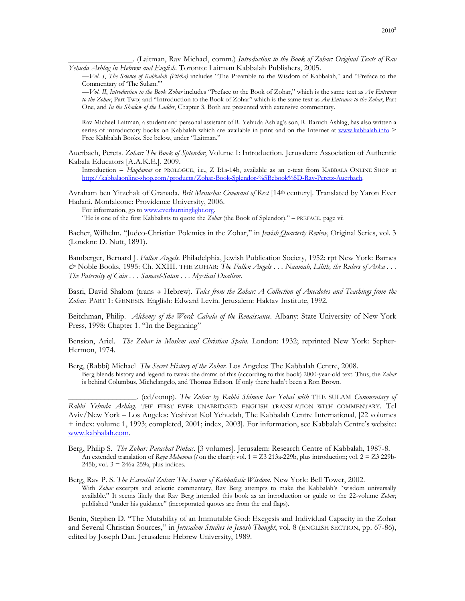\_\_\_\_\_\_\_\_\_\_\_\_\_\_\_\_. (Laitman, Rav Michael, comm.) *Introduction to the Book of Zohar: Original Texts of Rav Yehuda Ashlag in Hebrew and English*. Toronto: Laitman Kabbalah Publishers, 2005.

*—Vol. I*, *The Science of Kabbalah (Pticha)* includes "The Preamble to the Wisdom of Kabbalah," and "Preface to the Commentary of 'The Sulam.'"

*—Vol. II*, *Introduction to the Book Zohar* includes "Preface to the Book of Zohar," which is the same text as *An Entrance to the Zohar*, Part Two; and "Introduction to the Book of Zohar" which is the same text as *An Entrance to the Zohar*, Part One, and *In the Shadow of the Ladder*, Chapter 3. Both are presented with extensive commentary.

Rav Michael Laitman, a student and personal assistant of R. Yehuda Ashlag's son, R. Baruch Ashlag, has also written a series of introductory books on Kabbalah which are available in print and on the Internet at www.kabbalah.info > Free Kabbalah Books. See below, under "Laitman."

Auerbach, Perets. *Zohar: The Book of Splendor*, Volume I: Introduction. Jerusalem: Association of Authentic Kabala Educators [A.A.K.E.], 2009.

Introduction = *Haqdamat* or PROLOGUE, i.e., Z I:1a-14b, available as an e-text from KABBALA ONLINE SHOP at http://kabbalaonline-shop.com/products/Zohar-Book-Splendor-%5Bebook%5D-Rav-Peretz-Auerbach.

Avraham ben Yitzchak of Granada. *Brit Menucha: Covenant of Rest* [14th century]. Translated by Yaron Ever Hadani. Monfalcone: Providence University, 2006.

For information, go to www.everburninglight.org.

"He is one of the first Kabbalists to quote the *Zohar* (the Book of Splendor)." – PREFACE, page vii

Bacher, Wilhelm. "Judeo-Christian Polemics in the Zohar," in *Jewish Quarterly Review*, Original Series, vol. 3 (London: D. Nutt, 1891).

Bamberger, Bernard J. *Fallen Angels.* Philadelphia, Jewish Publication Society, 1952; rpt New York: Barnes *&* Noble Books, 1995: Ch. XXIII. THE ZOHAR: *The Fallen Angels . . . Naamah, Lilith, the Rulers of Arka . . . The Paternity of Cain . . . Samael-Satan . . . Mystical Dualism.* 

Basri, David Shalom (trans  $\rightarrow$  Hebrew). *Tales from the Zohar: A Collection of Anecdotes and Teachings from the Zohar*. PART 1: GENESIS. English: Edward Levin. Jerusalem: Haktav Institute, 1992.

Beitchman, Philip. *Alchemy of the Word: Cabala of the Renaissance.* Albany: State University of New York Press, 1998: Chapter 1. "In the Beginning"

Bension, Ariel. *The Zohar in Moslem and Christian Spain.* London: 1932; reprinted New York: Sepher-Hermon, 1974.

Berg, (Rabbi) Michael *The Secret History of the Zohar*. Los Angeles: The Kabbalah Centre, 2008.

Berg blends history and legend to tweak the drama of this (according to this book) 2000-year-old text. Thus, the *Zohar* is behind Columbus, Michelangelo, and Thomas Edison. If only there hadn't been a Ron Brown.

\_\_\_\_\_\_\_\_\_\_\_\_\_\_\_\_\_. (ed/comp). *The Zohar by Rabbi Shimon bar Yohai with* THE SULAM *Commentary of Rabbi Yehuda Ashlag.* THE FIRST EVER UNABRIDGED ENGLISH TRANSLATION WITH COMMENTARY. Tel Aviv/New York – Los Angeles: Yeshivat Kol Yehudah, The Kabbalah Centre International, [22 volumes + index: volume 1, 1993; completed, 2001; index, 2003]. For information, see Kabbalah Centre's website: www.kabbalah.com.

Berg, Philip S. *The Zohar: Parashat Pinhas.* [3 volumes]. Jerusalem: Research Centre of Kabbalah, 1987-8. An extended translation of *Raya Mehemna* (*t* on the chart): vol. 1 = Z3 213a-229b, plus introduction; vol. 2 = Z3 229b-245b; vol.  $3 = 246a-259a$ , plus indices.

Berg, Rav P. S. *The Essential Zohar: The Source of Kabbalistic Wisdom.* New York: Bell Tower, 2002. With *Zohar* excerpts and eclectic commentary, Rav Berg attempts to make the Kabbalah's "wisdom universally available." It seems likely that Rav Berg intended this book as an introduction or guide to the 22-volume *Zohar*, published "under his guidance" (incorporated quotes are from the end flaps).

Benin, Stephen D. "The Mutability of an Immutable God: Exegesis and Individual Capacity in the Zohar and Several Christian Sources," in *Jerusalem Studies in Jewish Thought*, vol. 8 (ENGLISH SECTION, pp. 67-86), edited by Joseph Dan. Jerusalem: Hebrew University, 1989.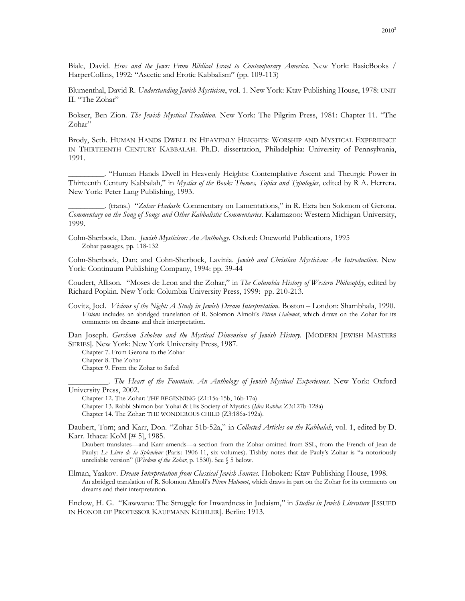Biale, David. *Eros and the Jews: From Biblical Israel to Contemporary America.* New York: BasicBooks / HarperCollins, 1992: "Ascetic and Erotic Kabbalism" (pp. 109-113)

Blumenthal, David R. *Understanding Jewish Mysticism*, vol. 1. New York: Ktav Publishing House, 1978: UNIT II. "The Zohar"

Bokser, Ben Zion. *The Jewish Mystical Tradition.* New York: The Pilgrim Press, 1981: Chapter 11. "The Zohar"

Brody, Seth. HUMAN HANDS DWELL IN HEAVENLY HEIGHTS: WORSHIP AND MYSTICAL EXPERIENCE IN THIRTEENTH CENTURY KABBALAH. Ph.D. dissertation, Philadelphia: University of Pennsylvania, 1991.

\_\_\_\_\_\_\_\_\_. "Human Hands Dwell in Heavenly Heights: Contemplative Ascent and Theurgic Power in Thirteenth Century Kabbalah," in *Mystics of the Book: Themes, Topics and Typologies*, edited by R A. Herrera. New York: Peter Lang Publishing, 1993.

\_\_\_\_\_\_\_\_\_. (trans.) "*Zohar Hadash*: Commentary on Lamentations," in R. Ezra ben Solomon of Gerona. *Commentary on the Song of Songs and Other Kabbalistic Commentaries.* Kalamazoo: Western Michigan University, 1999.

Cohn-Sherbock, Dan. *Jewish Mysticism: An Anthology.* Oxford: Oneworld Publications, 1995 Zohar passages, pp. 118-132

Cohn-Sherbock, Dan; and Cohn-Sherbock, Lavinia. *Jewish and Christian Mysticism: An Introduction.* New York: Continuum Publishing Company, 1994: pp. 39-44

Coudert, Allison. "Moses de Leon and the Zohar," in *The Columbia History of Western Philosophy*, edited by Richard Popkin. New York: Columbia University Press, 1999: pp. 210-213.

Covitz, Joel. *Visions of the Night: A Study in Jewish Dream Interpretation.* Boston – London: Shambhala, 1990. *Visions* includes an abridged translation of R. Solomon Almoli's *Pitron Halomot*, which draws on the Zohar for its comments on dreams and their interpretation.

Dan Joseph. *Gershom Scholem and the Mystical Dimension of Jewish History.* [MODERN JEWISH MASTERS SERIES]. New York: New York University Press, 1987.

Chapter 7. From Gerona to the Zohar Chapter 8. The Zohar

Chapter 9. From the Zohar to Safed

\_\_\_\_\_\_\_\_\_\_. *The Heart of the Fountain. An Anthology of Jewish Mystical Experiences.* New York: Oxford University Press, 2002.

Chapter 12. The Zohar: THE BEGINNING (Z1:15a-15b, 16b-17a) Chapter 13. Rabbi Shimon bar Yohai & His Society of Mystics (*Idra Rabba*: Z3:127b-128a) Chapter 14. The Zohar: THE WONDEROUS CHILD (Z3:186a-192a).

Daubert, Tom; and Karr, Don. "Zohar 51b-52a," in *Collected Articles on the Kabbalah*, vol. 1, edited by D. Karr. Ithaca: KoM [# 5], 1985.

Daubert translates—and Karr amends—a section from the Zohar omitted from SSL, from the French of Jean de Pauly: *Le Livre de la Splendeur* (Paris: 1906-11, six volumes). Tishby notes that de Pauly's Zohar is "a notoriously unreliable version" (*Wisdom of the Zohar*, p. 1530). See § 5 below.

Elman, Yaakov. *Dream Interpretation from Classical Jewish Sources.* Hoboken: Ktav Publishing House, 1998. An abridged translation of R. Solomon Almoli's *Pitron Halomot*, which draws in part on the Zohar for its comments on dreams and their interpretation.

Enelow, H. G. "Kawwana: The Struggle for Inwardness in Judaism," in *Studies in Jewish Literature* [ISSUED IN HONOR OF PROFESSOR KAUFMANN KOHLER]. Berlin: 1913.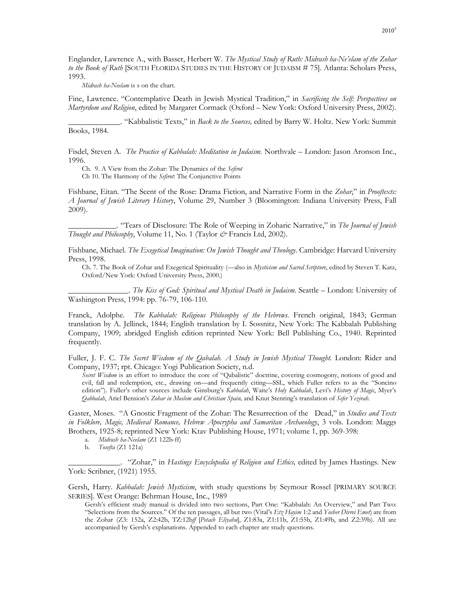Englander, Lawrence A., with Basser, Herbert W. *The Mystical Study of Ruth: Midrash ha-Ne'elam of the Zohar to the Book of Ruth* [SOUTH FLORIDA STUDIES IN THE HISTORY OF JUDAISM # 75]. Atlanta: Scholars Press, 1993.

*Midrash ha-Neelam* is s on the chart.

Fine, Lawrence. "Contemplative Death in Jewish Mystical Tradition," in *Sacrificing the Self: Perspectives on Martyrdom and Religion*, edited by Margaret Cormack (Oxford – New York: Oxford University Press, 2002).

\_\_\_\_\_\_\_\_\_\_\_\_\_. "Kabbalistic Texts," in *Back to the Sources,* edited by Barry W. Holtz. New York: Summit Books, 1984.

Fisdel, Steven A. *The Practice of Kabbalah: Meditation in Judaism.* Northvale – London: Jason Aronson Inc., 1996.

Ch. 9. A View from the Zohar: The Dynamics of the *Sefirot*

Ch 10. The Harmony of the *Sefirot*: The Conjunctive Points

Fishbane, Eitan. "The Scent of the Rose: Drama Fiction, and Narrative Form in the *Zohar*," in *Prooftexts: A Journal of Jewish Literary History*, Volume 29, Number 3 (Bloomington: Indiana University Press, Fall 2009).

\_\_\_\_\_\_\_\_\_\_\_\_. "Tears of Disclosure: The Role of Weeping in Zoharic Narrative," in *The Journal of Jewish Thought and Philosophy*, Volume 11, No. 1 (Taylor *&* Francis Ltd, 2002).

Fishbane, Michael. *The Exegetical Imagination: On Jewish Thought and Theology.* Cambridge: Harvard University Press, 1998.

Ch. 7. The Book of Zohar and Exegetical Spirituality (—also in *Mysticism and Sacred Scripture*, edited by Steven T. Katz, Oxford/New York: Oxford University Press, 2000.)

\_\_\_\_\_\_\_\_\_\_\_\_\_\_\_. *The Kiss of God: Spiritual and Mystical Death in Judaism.* Seattle – London: University of Washington Press, 1994: pp. 76-79, 106-110.

Franck, Adolphe. *The Kabbalah: Religious Philosophy of the Hebrews.* French original, 1843; German translation by A. Jellinek, 1844; English translation by I. Sossnitz, New York: The Kabbalah Publishing Company, 1909; abridged English edition reprinted New York: Bell Publishing Co., 1940. Reprinted frequently.

Fuller, J. F. C. *The Secret Wisdom of the Qabalah. A Study in Jewish Mystical Thought*. London: Rider and Company, 1937; rpt. Chicago: Yogi Publication Society, n.d.

*Secret Wisdom* is an effort to introduce the core of "Qabalistic" doctrine, covering cosmogony, notions of good and evil, fall and redemption, etc., drawing on—and frequently citing—SSL, which Fuller refers to as the "Soncino edition"). Fuller's other sources include Ginsburg's *Kabbalah*, Waite's *Holy Kabbalah*, Levi's *History of Magic*, Myer's *Qabbalah*, Ariel Bension's *Zohar in Moslem and Christian Spain,* and Knut Stenring's translation of *Sefer Yezirah*.

Gaster, Moses. "A Gnostic Fragment of the Zohar: The Resurrection of the Dead," in *Studies and Texts in Folklore, Magic, Medieval Romance, Hebrew Apocrypha and Samaritan Archaeology*, 3 vols. London: Maggs Brothers, 1925-8; reprinted New York: Ktav Publishing House, 1971; volume 1, pp. 369-398:

- a. *Midrash ha-Neelam* (Z1 122b-ff)
- b. *Tosefta* (Z1 121a)

\_\_\_\_\_\_\_\_\_\_\_\_\_. "Zohar," in *Hastings Encyclopedia of Religion and Ethics,* edited by James Hastings. New York: Scribner, (1921) 1955.

Gersh, Harry. *Kabbalah: Jewish Mysticism*, with study questions by Seymour Rossel [PRIMARY SOURCE SERIES]. West Orange: Behrman House, Inc., 1989

Gersh's efficient study manual is divided into two sections, Part One: "Kabbalah: An Overview," and Part Two: "Selections from the Sources." Of the ten passages, all but two (Vital's *Etz Hayim* 1:2 and *Yosher Divrei Emet*) are from the Zohar (Z3: 152a, Z2:42b, TZ:12b*ff* [*Petach Eliyahu*], Z1:83a, Z1:11b, Z1:55b, Z1:49b, and Z2:39b). All are accompanied by Gersh's explanations. Appended to each chapter are study questions.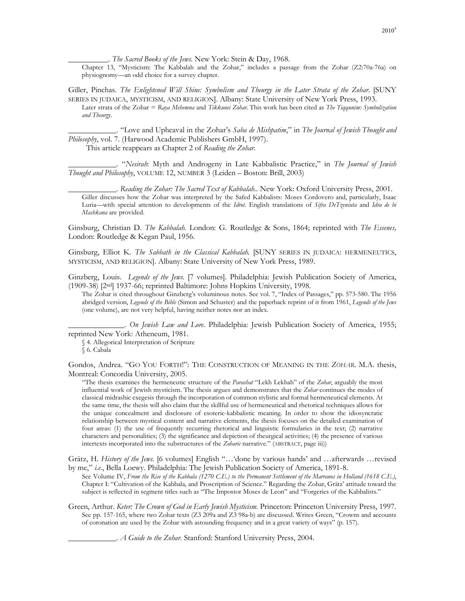\_\_\_\_\_\_\_\_\_\_. *The Sacred Books of the Jews.* New York: Stein & Day, 1968.

Chapter 13, "Mysticism: The Kabbalah and the Zohar," includes a passage from the Zohar (Z2:70a-76a) on physiognomy—an odd choice for a survey chapter.

Giller, Pinchas. *The Enlightened Will Shine: Symbolism and Theurgy in the Later Strata of the Zohar*. [SUNY SERIES IN JUDAICA, MYSTICISM, AND RELIGION]. Albany: State University of New York Press, 1993.

Later strata of the Zohar = *Raya Mehemna* and *Tikkunei Zohar*. This work has been cited as *The Tiqqunim: Symbolization and Theurgy.* 

\_\_\_\_\_\_\_\_\_\_\_\_. "Love and Upheaval in the Zohar's *Saba de Mishpatim*," in *The Journal of Jewish Thought and Philosophy*, vol. 7. (Harwood Academic Publishers GmbH, 1997).

This article reappears as Chapter 2 of *Reading the Zohar.* 

\_\_\_\_\_\_\_\_\_\_\_\_. "*Nesirah*: Myth and Androgeny in Late Kabbalistic Practice," in *The Journal of Jewish Thought and Philosophy*, VOLUME 12, NUMBER 3 (Leiden – Boston: Brill, 2003)

\_\_\_\_\_\_\_\_\_\_\_\_. *Reading the Zohar: The Sacred Text of Kabbalah..* New York: Oxford University Press, 2001. Giller discusses how the Zohar was interpreted by the Safed Kabbalists: Moses Cordovero and, particularly, Isaac Luria—with special attention to developments of the *Idrot*. English translations of *Sifra DeTzeniuta* and *Idra de bi Mashkana* are provided.

Ginsburg, Christian D. *The Kabbalah.* London: G. Routledge & Sons, 1864; reprinted with *The Essenes,* London: Routledge & Kegan Paul, 1956.

Ginsburg, Elliot K. The Sabbath in the Classical Kabbalah. [SUNY SERIES IN JUDAICA: HERMENEUTICS, MYSTICISM, AND RELIGION]. Albany: State University of New York Press, 1989.

Ginzberg, Louis. *Legends of the Jews.* [7 volumes]. Philadelphia: Jewish Publication Society of America, (1909-38) [2nd] 1937-66; reprinted Baltimore: Johns Hopkins University, 1998.

The Zohar is cited throughout Ginzberg's voluminous notes. See vol. 7, "Index of Passages," pp. 573-580. The 1956 abridged version, *Legends of the Bible* (Simon and Schuster) and the paperback reprint of it from 1961, *Legends of the Jews* (one volume), are not very helpful, having neither notes nor an index.

\_\_\_\_\_\_\_\_\_\_\_\_\_\_. *On Jewish Law and Lore.* Philadelphia: Jewish Publication Society of America, 1955; reprinted New York: Atheneum, 1981.

§ 4. Allegorical Interpretation of Scripture

Gondos, Andrea. "GO YOU FORTH!": THE CONSTRUCTION OF MEANING IN THE *ZOHAR*. M.A. thesis, Montreal: Concordia University, 2005.

"The thesis examines the hermeneutic structure of the *Parashat* "Lekh Lekhah" of the *Zohar*, arguably the most influential work of Jewish mysticism. The thesis argues and demonstrates that the *Zohar* continues the modes of classical midrashic exegesis through the incorporation of common stylistic and formal hermeneutical elements. At the same time, the thesis will also claim that the skillful use of hermeneutical and rhetorical techniques allows for the unique concealment and disclosure of esoteric-kabbalistic meaning. In order to show the idiosyncratic relationship between mystical content and narrative elements, the thesis focuses on the detailed examination of four areas: (1) the use of frequently recurring rhetorical and linguistic formularies in the text; (2) narrative characters and personalities; (3) the significance and depiction of theurgical activities; (4) the presence of various intertexts incorporated into the substructures of the *Zoharic* narrative." (ABSTRACT, page iii))

Grätz, H. *History of the Jews.* [6 volumes] English "…'done by various hands' and …afterwards …revised by me," *i.e.*, Bella Loewy. Philadelphia: The Jewish Publication Society of America, 1891-8.

See Volume IV, *From the Rise of the Kabbala (1270 C.E.) to the Permanent Settlement of the Marranos in Holland (1618 C.E.)*, Chapter I: "Cultivation of the Kabbala, and Proscription of Science." Regarding the Zohar, Grätz' attitude toward the subject is reflected in segment titles such as "The Impostor Moses de Leon" and "Forgeries of the Kabbalists."

Green, Arthur. *Keter: The Crown of God in Early Jewish Mysticism.* Princeton: Princeton University Press, 1997. See pp. 157-165, where two Zohar texts (Z3 209a and Z3 98a-b) are discussed. Writes Green, "Crowns and accounts of coronation are used by the Zohar with astounding frequency and in a great variety of ways" (p. 157).

\_\_\_\_\_\_\_\_\_\_\_\_. *A Guide to the Zohar*. Stanford: Stanford University Press, 2004.

<sup>§ 6.</sup> Cabala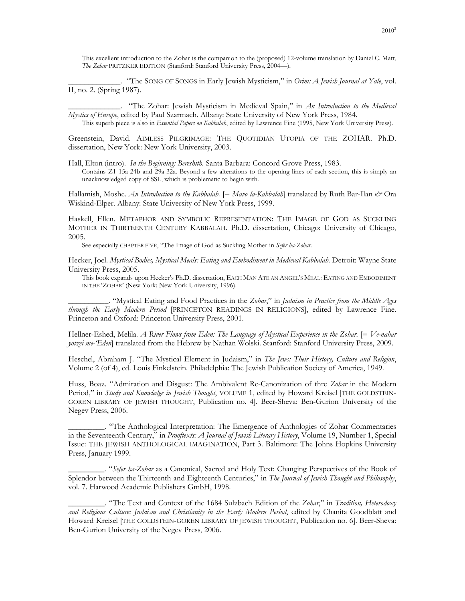This excellent introduction to the Zohar is the companion to the (proposed) 12-volume translation by Daniel C. Matt, *The Zohar* PRITZKER EDITION (Stanford: Stanford University Press, 2004—).

\_\_\_\_\_\_\_\_\_\_\_\_\_. "The SONG OF SONGS in Early Jewish Mysticism," in *Orim: A Jewish Journal at Yale*, vol. II, no. 2. (Spring 1987).

\_\_\_\_\_\_\_\_\_\_\_\_\_. "The Zohar: Jewish Mysticism in Medieval Spain," in *An Introduction to the Medieval Mystics of Europe*, edited by Paul Szarmach. Albany: State University of New York Press, 1984.

This superb piece is also in *Essential Papers on Kabbalah*, edited by Lawrence Fine (1995, New York University Press).

Greenstein, David. AIMLESS PILGRIMAGE: THE QUOTIDIAN UTOPIA OF THE ZOHAR. Ph.D. dissertation, New York: New York University, 2003.

Hall, Elton (intro). *In the Beginning: Bereshith.* Santa Barbara: Concord Grove Press, 1983. Contains Z1 15a-24b and 29a-32a. Beyond a few alterations to the opening lines of each section, this is simply an unacknowledged copy of SSL, which is problematic to begin with.

Hallamish, Moshe. *An Introduction to the Kabbalah.* [= *Mavo la-Kabbalah*] translated by Ruth Bar-Ilan *&* Ora Wiskind-Elper. Albany: State University of New York Press, 1999.

Haskell, Ellen. METAPHOR AND SYMBOLIC REPRESENTATION: THE IMAGE OF GOD AS SUCKLING MOTHER IN THIRTEENTH CENTURY KABBALAH. Ph.D. dissertation, Chicago: University of Chicago, 2005.

See especially CHAPTER FIVE, "The Image of God as Suckling Mother in *Sefer ha-Zohar*.

Hecker, Joel. *Mystical Bodies, Mystical Meals: Eating and Embodiment in Medieval Kabbalah*. Detroit: Wayne State University Press, 2005.

This book expands upon Hecker's Ph.D. dissertation, EACH MAN ATE AN ANGEL'S MEAL: EATING AND EMBODIMENT IN THE 'ZOHAR' (New York: New York University, 1996).

\_\_\_\_\_\_\_\_\_\_. "Mystical Eating and Food Practices in the *Zohar*," in *Judaism in Practice from the Middle Ages through the Early Modern Period* [PRINCETON READINGS IN RELIGIONS], edited by Lawrence Fine. Princeton and Oxford: Princeton University Press, 2001.

Hellner-Eshed, Melila. *A River Flows from Eden: The Language of Mystical Experience in the Zohar*. [= *Ve-nahar yotzei me-'Eden*] translated from the Hebrew by Nathan Wolski. Stanford: Stanford University Press, 2009.

Heschel, Abraham J. "The Mystical Element in Judaism," in *The Jews: Their History, Culture and Religion*, Volume 2 (of 4), ed. Louis Finkelstein. Philadelphia: The Jewish Publication Society of America, 1949.

Huss, Boaz. "Admiration and Disgust: The Ambivalent Re-Canonization of thre *Zohar* in the Modern Period," in *Study and Knowledge in Jewish Thought*, VOLUME 1, edited by Howard Kreisel [THE GOLDSTEIN-GOREN LIBRARY OF JEWISH THOUGHT, Publication no. 4]. Beer-Sheva: Ben-Gurion University of the Negev Press, 2006.

\_\_\_\_\_\_\_\_\_. "The Anthological Interpretation: The Emergence of Anthologies of Zohar Commentaries in the Seventeenth Century," in *Prooftexts: A Journal of Jewish Literary History*, Volume 19, Number 1, Special Issue: THE JEWISH ANTHOLOGICAL IMAGINATION, Part 3. Baltimore: The Johns Hopkins University Press, January 1999.

\_\_\_\_\_\_\_\_\_. "*Sefer ha-Zohar* as a Canonical, Sacred and Holy Text: Changing Perspectives of the Book of Splendor between the Thirteenth and Eighteenth Centuries," in *The Journal of Jewish Thought and Philosophy*, vol. 7. Harwood Academic Publishers GmbH, 1998.

\_\_\_\_\_\_\_\_\_. "The Text and Context of the 1684 Sulzbach Edition of the *Zohar*," in *Tradition, Heterodoxy and Religious Culture: Judaism and Christianity in the Early Modern Period*, edited by Chanita Goodblatt and Howard Kreisel [THE GOLDSTEIN-GOREN LIBRARY OF JEWISH THOUGHT, Publication no. 6]. Beer-Sheva: Ben-Gurion University of the Negev Press, 2006.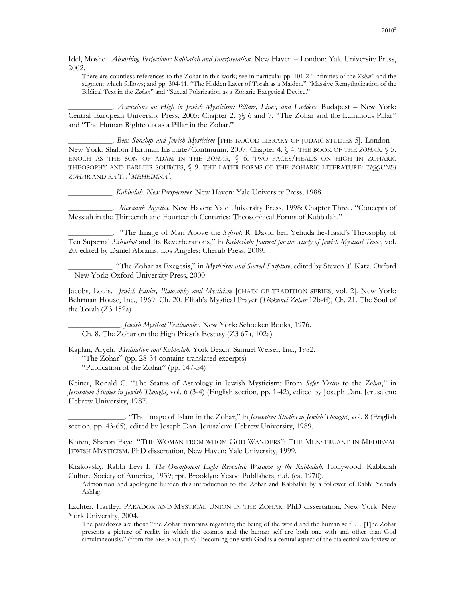Idel, Moshe. *Absorbing Perfections: Kabbalah and Interpretation*. New Haven – London: Yale University Press, 2002.

There are countless references to the Zohar in this work; see in particular pp. 101-2 "Infinities of the *Zohar*" and the segment which follows; and pp. 304-11, "The Hidden Layer of Torah as a Maiden," "Massive Remytholization of the Biblical Text in the *Zohar*," and "Sexual Polarization as a Zoharic Exegetical Device."

\_\_\_\_\_\_\_\_\_\_\_. *Ascensions on High in Jewish Mysticism: Pillars, Lines, and Ladders*. Budapest – New York: Central European University Press, 2005: Chapter 2, §§ 6 and 7, "The Zohar and the Luminous Pillar" and "The Human Righteous as a Pillar in the Zohar."

\_\_\_\_\_\_\_\_\_\_\_. *Ben: Sonship and Jewish Mysticism* [THE KOGOD LIBRARY OF JUDAIC STUDIES 5]. London – New York: Shalom Hartman Institute/Continuum, 2007: Chapter 4, § 4. THE BOOK OF THE *ZOHAR*, § 5. ENOCH AS THE SON OF ADAM IN THE *ZOHAR*, § 6. TWO FACES/HEADS ON HIGH IN ZOHARIC THEOSOPHY AND EARLIER SOURCES, § 9. THE LATER FORMS OF THE ZOHARIC LITERATURE: *TIQQUNEI ZOHAR* AND *RA'YA' MEHEIMNA'*.

\_\_\_\_\_\_\_\_\_\_\_. *Kabbalah: New Perspectives.* New Haven: Yale University Press, 1988.

\_\_\_\_\_\_\_\_\_\_\_. *Messianic Mystics.* New Haven: Yale University Press, 1998: Chapter Three. "Concepts of Messiah in the Thirteenth and Fourteenth Centuries: Theosophical Forms of Kabbalah."

\_\_\_\_\_\_\_\_\_\_\_. "The Image of Man Above the *Sefirot*: R. David ben Yehuda he-Hasid's Theosophy of Ten Supernal *Sahsahot* and Its Reverberations," in *Kabbalah: Journal for the Study of Jewish Mystical Texts*, vol. 20, edited by Daniel Abrams. Los Angeles: Cherub Press, 2009.

\_\_\_\_\_\_\_\_\_\_\_. "The Zohar as Exegesis," in *Mysticism and Sacred Scripture*, edited by Steven T. Katz. Oxford – New York: Oxford University Press, 2000.

Jacobs, Louis. *Jewish Ethics, Philosophy and Mysticism* [CHAIN OF TRADITION SERIES, vol. 2]. New York: Behrman House, Inc., 1969: Ch. 20. Elijah's Mystical Prayer (*Tikkunei Zohar* 12b-ff), Ch. 21. The Soul of the Torah (Z3 152a)

\_\_\_\_\_\_\_\_\_\_\_\_\_. *Jewish Mystical Testimonies.* New York: Schocken Books, 1976. Ch. 8. The Zohar on the High Priest's Ecstasy (Z3 67a, 102a)

Kaplan, Aryeh. *Meditation and Kabbalah.* York Beach: Samuel Weiser, Inc., 1982. "The Zohar" (pp. 28-34 contains translated excerpts) "Publication of the Zohar" (pp. 147-54)

Keiner, Ronald C. "The Status of Astrology in Jewish Mysticism: From *Sefer Yesira* to the *Zohar*," in *Jerusalem Studies in Jewish Thought*, vol. 6 (3-4) (English section, pp. 1-42), edited by Joseph Dan. Jerusalem: Hebrew University, 1987.

\_\_\_\_\_\_\_\_\_\_\_\_\_\_. "The Image of Islam in the Zohar," in *Jerusalem Studies in Jewish Thought*, vol. 8 (English section, pp. 43-65), edited by Joseph Dan. Jerusalem: Hebrew University, 1989.

Koren, Sharon Faye. "THE WOMAN FROM WHOM GOD WANDERS": THE MENSTRUANT IN MEDIEVAL JEWISH MYSTICISM. PhD dissertation, New Haven: Yale University, 1999.

Krakovsky, Rabbi Levi I. *The Omnipotent Light Revealed: Wisdom of the Kabbalah*. Hollywood: Kabbalah Culture Society of America, 1939; rpt. Brooklyn: Yesod Publishers, n.d. (ca. 1970).

Admonition and apologetic burden this introduction to the Zohar and Kabbalah by a follower of Rabbi Yehuda Ashlag.

Lachter, Hartley. PARADOX AND MYSTICAL UNION IN THE ZOHAR. PhD dissertation, New York: New York University, 2004.

The paradoxes are those "the Zohar maintains regarding the being of the world and the human self. … [T]he Zohar presents a picture of reality in which the cosmos and the human self are both one with and other than God simultaneously." (from the ABSTRACT, p. v) "Becoming one with God is a central aspect of the dialectical worldview of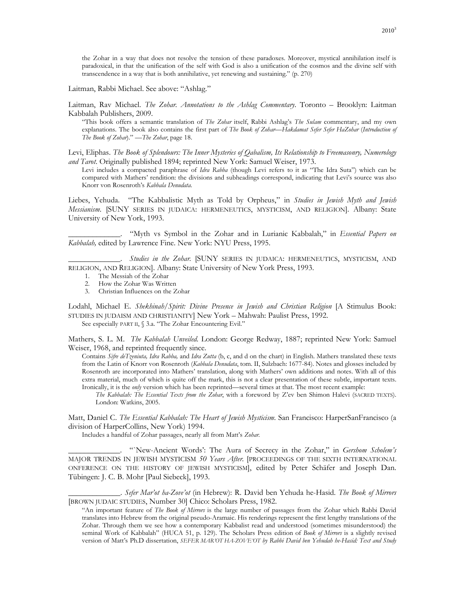the Zohar in a way that does not resolve the tension of these paradoxes. Moreover, mystical annihilation itself is paradoxical, in that the unification of the self with God is also a unification of the cosmos and the divine self with transcendence in a way that is both annihilative, yet renewing and sustaining." (p. 270)

Laitman, Rabbi Michael. See above: "Ashlag."

Laitman, Rav Michael. *The Zohar. Annotations to the Ashlag Commentary*. Toronto – Brooklyn: Laitman Kabbalah Publishers, 2009.

"This book offers a semantic translation of *The Zohar* itself, Rabbi Ashlag's *The Sulam* commentary, and my own explanations. The book also contains the first part of *The Book of Zohar—Hakdamat Sefer Sefer HaZohar (Introduction of The Book of Zohar*)." —*The Zohar*, page 18.

Levi, Eliphas. *The Book of Splendours: The Inner Mysteries of Qabalism, Its Relationship to Freemasonry, Numerology and Tarot*. Originally published 1894; reprinted New York: Samuel Weiser, 1973.

Levi includes a compacted paraphrase of *Idra Rabba* (though Levi refers to it as "The Idra Suta") which can be compared with Mathers' rendition: the divisions and subheadings correspond, indicating that Levi's source was also Knorr von Rosenroth's *Kabbala Denudata.*

Liebes, Yehuda. "The Kabbalistic Myth as Told by Orpheus," in *Studies in Jewish Myth and Jewish Messianism.* [SUNY SERIES IN JUDAICA: HERMENEUTICS, MYSTICISM, AND RELIGION]. Albany: State University of New York, 1993.

\_\_\_\_\_\_\_\_\_\_\_\_\_. "Myth vs Symbol in the Zohar and in Lurianic Kabbalah," in *Essential Papers on Kabbalah,* edited by Lawrence Fine. New York: NYU Press, 1995.

Studies in the Zohar. **[SUNY SERIES IN JUDAICA: HERMENEUTICS, MYSTICISM, AND** RELIGION, AND RELIGION]. Albany: State University of New York Press, 1993.

- 1. The Messiah of the Zohar
- 2. How the Zohar Was Written
- 3. Christian Influences on the Zohar

Lodahl, Michael E. *Shekhinah/Spirit: Divine Presence in Jewish and Christian Religion* [A Stimulus Book: STUDIES IN JUDAISM AND CHRISTIANITY] New York – Mahwah: Paulist Press, 1992.

See especially PART II, § 3.a. "The Zohar Encountering Evil."

Mathers, S. L. M. *The Kabbalah Unveiled.* London: George Redway, 1887; reprinted New York: Samuel Weiser, 1968, and reprinted frequently since.

Contains *Sifre deTzeniuta, Idra Rabba,* and *Idra Zutta* (b, c, and d on the chart) in English. Mathers translated these texts from the Latin of Knorr von Rosenroth (*Kabbala Denudata*, tom. II, Sulzbach: 1677-84). Notes and glosses included by Rosenroth are incorporated into Mathers' translation, along with Mathers' own additions and notes. With all of this extra material, much of which is quite off the mark, this is not a clear presentation of these subtle, important texts. Ironically, it is the *only* version which has been reprinted—several times at that. The most recent example:

*The Kabbalah: The Essential Texts from the Zohar*, with a foreword by Z'ev ben Shimon Halevi (SACRED TEXTS). London: Watkins, 2005.

Matt, Daniel C. *The Essential Kabbalah: The Heart of Jewish Mysticism.* San Francisco: HarperSanFrancisco (a division of HarperCollins, New York) 1994.

Includes a handful of Zohar passages, nearly all from Matt's *Zohar.*

\_\_\_\_\_\_\_\_\_\_\_\_\_. "`New-Ancient Words': The Aura of Secrecy in the Zohar," in *Gershom Scholem's*  MAJOR TRENDS IN JEWISH MYSTICISM *50 Years After.* [PROCEEDINGS OF THE SIXTH INTERNATIONAL ONFERENCE ON THE HISTORY OF JEWISH MYSTICISM], edited by Peter Schäfer and Joseph Dan. Tübingen: J. C. B. Mohr [Paul Siebeck], 1993.

\_\_\_\_\_\_\_\_\_\_\_\_\_. *Sefer Mar'ot ha-Zove'ot* (in Hebrew): R. David ben Yehuda he-Hasid. *The Book of Mirrors*  [BROWN JUDAIC STUDIES, Number 30] Chico: Scholars Press, 1982.

"An important feature of *The Book of Mirrors* is the large number of passages from the Zohar which Rabbi David translates into Hebrew from the original pseudo-Aramaic. His renderings represent the first lengthy translations of the Zohar. Through them we see how a contemporary Kabbalist read and understood (sometimes misunderstood) the seminal Work of Kabbalah" (HUCA 51, p. 129). The Scholars Press edition of *Book of Mirrors* is a slightly revised version of Matt's Ph.D dissertation, *SEFER MAR'OT HA-ZOVE'OT by Rabbi David ben Yehudah he-Hasid: Text and Study*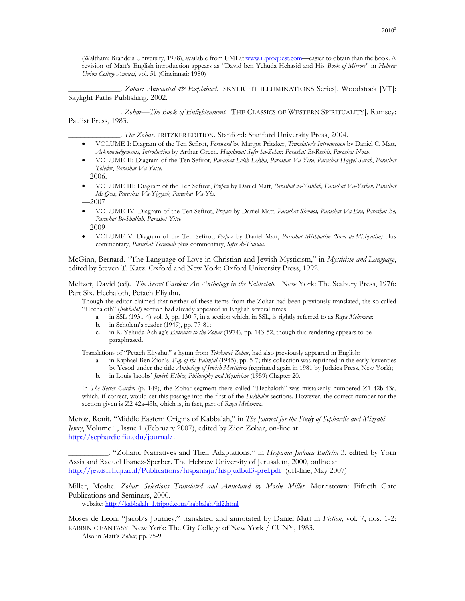(Waltham: Brandeis University, 1978), available from UMI at www.il.proquest.com—easier to obtain than the book. A revision of Matt's English introduction appears as "David ben Yehuda Hehasid and His *Book of Mirrors*" in *Hebrew Union College Annual*, vol. 51 (Cincinnati: 1980)

\_\_\_\_\_\_\_\_\_\_\_\_\_. *Zohar: Annotated & Explained.* [SKYLIGHT ILLUMINATIONS Series]. Woodstock [VT]: Skylight Paths Publishing, 2002.

\_\_\_\_\_\_\_\_\_\_\_\_\_. *Zohar—The Book of Enlightenment.* [THE CLASSICS OF WESTERN SPIRITUALITY]. Ramsey: Paulist Press, 1983.

\_\_\_\_\_\_\_\_\_\_\_\_\_. *The Zohar*. PRITZKER EDITION. Stanford: Stanford University Press, 2004.

- VOLUME I: Diagram of the Ten Sefirot, *Foreword* by Margot Pritzker, *Translator's Introduction* by Daniel C. Matt, *Acknowledgements*, *Introduction* by Arthur Green, *Haqdamat Sefer ha-Zohar*, *Parashat Be-Reshit*, *Parashat Noah*.
- VOLUME II: Diagram of the Ten Sefirot, *Parashat Lekh Lekha*, *Parashat Va-Yera*, *Parashat Hayyei Sarah*, *Parashat Toledot*, *Parashat Va-Yetse*.

—2006.

- VOLUME III: Diagram of the Ten Sefirot, *Preface* by Daniel Matt, *Parashat va-Yishlah, Parashat Va-Yeshev, Parashat Mi-Qets, Parashat Va-Yiggash, Parashat Va-Yhi*.
- —2007
- VOLUME IV: Diagram of the Ten Sefirot, *Preface* by Daniel Matt, *Parashat Shemot, Parashat Va-Era, Parashat Bo, Parashat Be-Shallah, Parashet Yitro*

—2009

• VOLUME V: Diagram of the Ten Sefirot, *Preface* by Daniel Matt, *Parashat Mishpatim (Sava de-Mishpatim)* plus commentary, *Parashat Terumah* plus commentary, *Sifre di-Tsniuta.*

McGinn, Bernard. "The Language of Love in Christian and Jewish Mysticism," in *Mysticism and Language*, edited by Steven T. Katz. Oxford and New York: Oxford University Press, 1992.

Meltzer, David (ed). *The Secret Garden: An Anthology in the Kabbalah.* New York: The Seabury Press, 1976: Part Six. Hechaloth, Petach Eliyahu.

Though the editor claimed that neither of these items from the Zohar had been previously translated, the so-called "Hechaloth" (*hekhalot*) section had already appeared in English several times:

- a. in SSL (1931-4) vol. 3, pp. 130-7, in a section which, in SSL, is rightly referred to as *Raya Mehemna*;
- b. in Scholem's reader (1949), pp. 77-81;
- c. in R. Yehuda Ashlag's *Entrance to the Zohar* (1974), pp. 143-52, though this rendering appears to be paraphrased.

Translations of "Petach Eliyahu," a hymn from *Tikkunei Zohar*, had also previously appeared in English:

- a. in Raphael Ben Zion's *Way of the Faithful* (1945), pp. 5-7; this collection was reprinted in the early 'seventies by Yesod under the title *Anthology of Jewish Mysticism* (reprinted again in 1981 by Judaica Press, New York);
- b. in Louis Jacobs' *Jewish Ethics, Philosophy and Mysticism* (1959) Chapter 20.

In *The Secret Garden* (p. 149), the Zohar segment there called "Hechaloth" was mistakenly numbered Z1 42b-43a, which, if correct, would set this passage into the first of the *Hekhalot* sections. However, the correct number for the section given is Z2 42a-43b, which is, in fact, part of *Raya Mehemna*.

Meroz, Ronit. "Middle Eastern Origins of Kabbalah," in *The Journal for the Study of Sephardic and Mizrahi Jewry*, Volume 1, Issue 1 (February 2007), edited by Zion Zohar, on-line at http://sephardic.fiu.edu/journal/.

\_\_\_\_\_\_\_\_\_\_. "Zoharic Narratives and Their Adaptations," in *Hispania Judaica Bulletin* 3, edited by Yorn Assis and Raquel Ibanez-Sperber. The Hebrew University of Jerusalem, 2000, online at http://jewish.huji.ac.il/Publications/hispaniaju/hispjudbul3-prel.pdf (off-line, May 2007)

Miller, Moshe. *Zohar: Selections Translated and Annotated by Moshe Miller*. Morristown: Fiftieth Gate Publications and Seminars, 2000.

website: http://kabbalah\_1.tripod.com/kabbalah/id2.html

Moses de Leon. "Jacob's Journey," translated and annotated by Daniel Matt in *Fiction*, vol. 7, nos. 1-2: RABBINIC FANTASY. New York: The City College of New York / CUNY, 1983.

Also in Matt's *Zohar*, pp. 75-9.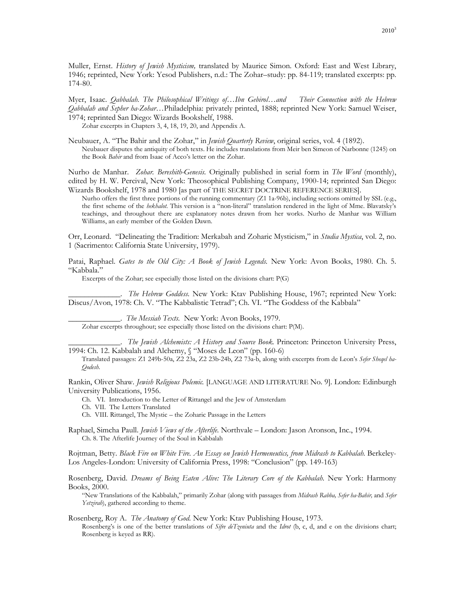Muller, Ernst. *History of Jewish Mysticism,* translated by Maurice Simon. Oxford: East and West Library, 1946; reprinted, New York: Yesod Publishers, n.d.: The Zohar–study: pp. 84-119; translated excerpts: pp. 174-80.

Myer, Isaac. *Qabbalah. The Philosophical Writings of…Ibn Gebirol…and Their Connection with the Hebrew Qabbalah and Sepher ha-Zohar…*Philadelphia: privately printed, 1888; reprinted New York: Samuel Weiser, 1974; reprinted San Diego: Wizards Bookshelf, 1988.

Zohar excerpts in Chapters 3, 4, 18, 19, 20, and Appendix A.

Neubauer, A. "The Bahir and the Zohar," in *Jewish Quarterly Review*, original series, vol. 4 (1892). Neubauer disputes the antiquity of both texts. He includes translations from Meir ben Simeon of Narbonne (1245) on the Book *Bahir* and from Isaac of Acco's letter on the Zohar.

Nurho de Manhar. *Zohar. Bereshith-Genesis.* Originally published in serial form in *The Word* (monthly), edited by H. W. Percival, New York: Theosophical Publishing Company, 1900-14; reprinted San Diego: Wizards Bookshelf, 1978 and 1980 [as part of THE SECRET DOCTRINE REFERENCE SERIES].

Nurho offers the first three portions of the running commentary (Z1 1a-96b), including sections omitted by SSL (e.g., the first scheme of the *hekhalot.* This version is a "non-literal" translation rendered in the light of Mme. Blavatsky's teachings, and throughout there are explanatory notes drawn from her works. Nurho de Manhar was William Williams, an early member of the Golden Dawn.

Orr, Leonard. "Delineating the Tradition: Merkabah and Zoharic Mysticism," in *Studia Mystica*, vol. 2, no. 1 (Sacrimento: California State University, 1979).

Patai, Raphael. *Gates to the Old City: A Book of Jewish Legends*. New York: Avon Books, 1980. Ch. 5. "Kabbala."

Excerpts of the Zohar; see especially those listed on the divisions chart: P(G)

\_\_\_\_\_\_\_\_\_\_\_\_\_. *The Hebrew Goddess.* New York: Ktav Publishing House, 1967; reprinted New York: Discus/Avon, 1978: Ch. V. "The Kabbalistic Tetrad"; Ch. VI. "The Goddess of the Kabbala"

\_\_\_\_\_\_\_\_\_\_\_\_\_. *The Messiah Texts.* New York: Avon Books, 1979. Zohar excerpts throughout; see especially those listed on the divisions chart: P(M).

\_\_\_\_\_\_\_\_\_\_\_\_\_. *The Jewish Alchemists: A History and Source Book.* Princeton: Princeton University Press, 1994: Ch. 12. Kabbalah and Alchemy, § "Moses de Leon" (pp. 160-6)

Translated passages: Z1 249b-50a, Z2 23a, Z2 23b-24b, Z2 73a-b, along with excerpts from de Leon's *Sefer Sheqel ha-Qodesh.*

Rankin, Oliver Shaw. *Jewish Religious Polemic.* [LANGUAGE AND LITERATURE No. 9]. London: Edinburgh University Publications, 1956.

Ch. VI. Introduction to the Letter of Rittangel and the Jew of Amsterdam

Ch. VII. The Letters Translated

Ch. VIII. Rittangel, The Mystic – the Zoharic Passage in the Letters

Raphael, Simcha Paull. *Jewish Views of the Afterlife.* Northvale – London: Jason Aronson, Inc., 1994. Ch. 8. The Afterlife Journey of the Soul in Kabbalah

Rojtman, Betty. *Black Fire on White Fire. An Essay on Jewish Hermeneutics, from Midrash to Kabbalah.* Berkeley-Los Angeles-London: University of California Press, 1998: "Conclusion" (pp. 149-163)

Rosenberg, David. *Dreams of Being Eaten Alive: The Literary Core of the Kabbalah.* New York: Harmony Books, 2000.

"New Translations of the Kabbalah," primarily Zohar (along with passages from *Midrash Rabba, Sefer ha-Bahir,* and *Sefer Yetzirah*), gathered according to theme.

Rosenberg, Roy A. *The Anatomy of God.* New York: Ktav Publishing House, 1973.

Rosenberg's is one of the better translations of *Sifre deTzeniuta* and the *Idrot* (b, c, d, and e on the divisions chart; Rosenberg is keyed as RR).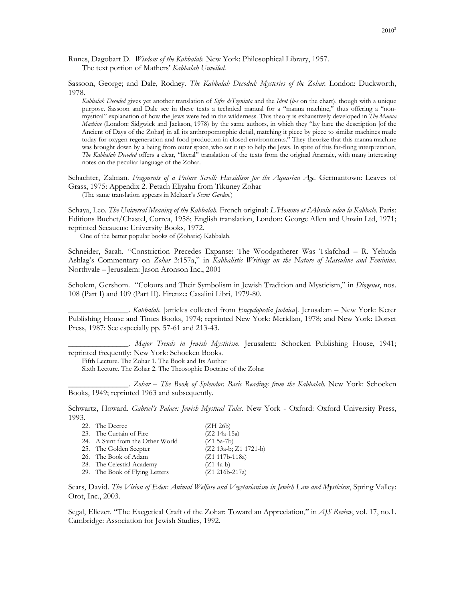Runes, Dagobart D. *Wisdom of the Kabbalah.* New York: Philosophical Library, 1957. The text portion of Mathers' *Kabbalah Unveiled.*

Sassoon, George; and Dale, Rodney. *The Kabbalah Decoded: Mysteries of the Zohar.* London: Duckworth, 1978.

*Kabbalah Decoded* gives yet another translation of *Sifre deTzeniuta* and the *Idrot* (*b-e* on the chart), though with a unique purpose. Sassoon and Dale see in these texts a technical manual for a "manna machine," thus offering a "nonmystical" explanation of how the Jews were fed in the wilderness. This theory is exhaustively developed in *The Manna Machine* (London: Sidgwick and Jackson, 1978) by the same authors, in which they "lay bare the description [of the Ancient of Days of the Zohar] in all its anthropomorphic detail, matching it piece by piece to similar machines made today for oxygen regeneration and food production in closed environments." They theorize that this manna machine was brought down by a being from outer space, who set it up to help the Jews. In spite of this far-flung interpretation, *The Kabbalah Decoded* offers a clear, "literal" translation of the texts from the original Aramaic, with many interesting notes on the peculiar language of the Zohar.

Schachter, Zalman. *Fragments of a Future Scroll: Hassidism for the Aquarian Age.* Germantown: Leaves of Grass, 1975: Appendix 2. Petach Eliyahu from Tikuney Zohar

(The same translation appears in Meltzer's *Secret Garden.*)

Schaya, Leo. *The Universal Meaning of the Kabbalah.* French original: *L'Homme et l'Absolu selon la Kabbale*. Paris: Editions Buchet/Chastel, Correa, 1958; English translation, London: George Allen and Unwin Ltd, 1971; reprinted Secaucus: University Books, 1972.

One of the better popular books of (Zoharic) Kabbalah.

Schneider, Sarah. "Constriction Precedes Expanse: The Woodgatherer Was Tslafchad – R. Yehuda Ashlag's Commentary on *Zohar* 3:157a," in *Kabbalistic Writings on the Nature of Masculine and Feminine*. Northvale – Jerusalem: Jason Aronson Inc., 2001

Scholem, Gershom. "Colours and Their Symbolism in Jewish Tradition and Mysticism," in *Diogenes*, nos. 108 (Part I) and 109 (Part II). Firenze: Casalini Libri, 1979-80.

\_\_\_\_\_\_\_\_\_\_\_\_\_\_\_. *Kabbalah.* [articles collected from *Encyclopedia Judaica*]. Jerusalem – New York: Keter Publishing House and Times Books, 1974; reprinted New York: Meridian, 1978; and New York: Dorset Press, 1987: See especially pp. 57-61 and 213-43.

\_\_\_\_\_\_\_\_\_\_\_\_\_\_\_. *Major Trends in Jewish Mysticism.* Jerusalem: Schocken Publishing House, 1941; reprinted frequently: New York: Schocken Books.

Fifth Lecture. The Zohar 1. The Book and Its Author

Sixth Lecture. The Zohar 2. The Theosophic Doctrine of the Zohar

\_\_\_\_\_\_\_\_\_\_\_\_\_\_\_. *Zohar – The Book of Splendor. Basic Readings from the Kabbalah.* New York: Schocken Books, 1949; reprinted 1963 and subsequently.

Schwartz, Howard. *Gabriel's Palace: Jewish Mystical Tales.* New York - Oxford: Oxford University Press, 1993.

| (ZH 26b)                                                                                                                                                                                       |
|------------------------------------------------------------------------------------------------------------------------------------------------------------------------------------------------|
| $(Z2\ 14a-15a)$                                                                                                                                                                                |
| $(Z1 5a-7b)$                                                                                                                                                                                   |
| (Z2 13a-b; Z1 1721-b)                                                                                                                                                                          |
| $(Z1 117b-118a)$                                                                                                                                                                               |
| $(Z1 4a-b)$                                                                                                                                                                                    |
| $(Z1 216b-217a)$                                                                                                                                                                               |
| 22. The Decree<br>23. The Curtain of Fire<br>24. A Saint from the Other World<br>25. The Golden Scepter<br>26. The Book of Adam<br>28. The Celestial Academy<br>29. The Book of Flying Letters |

Sears, David. *The Vision of Eden: Animal Welfare and Vegetarianism in Jewish Law and Mysticism*, Spring Valley: Orot, Inc., 2003.

Segal, Eliezer. "The Exegetical Craft of the Zohar: Toward an Appreciation," in *AJS Review*, vol. 17, no.1. Cambridge: Association for Jewish Studies, 1992.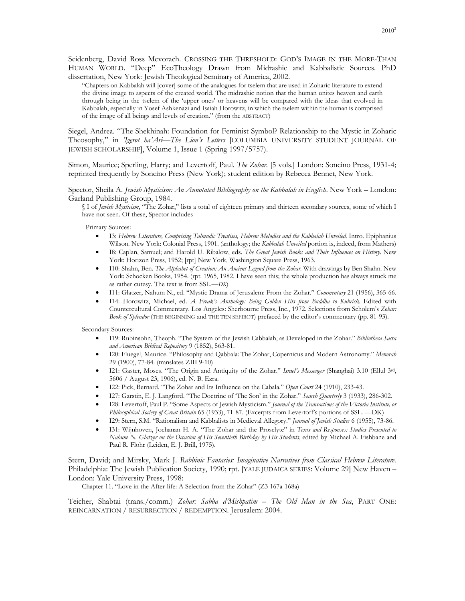Seidenberg, David Ross Mevorach. CROSSING THE THRESHOLD: GOD'S IMAGE IN THE MORE-THAN HUMAN WORLD. "Deep" EcoTheology Drawn from Midrashic and Kabbalistic Sources. PhD dissertation, New York: Jewish Theological Seminary of America, 2002.

"Chapters on Kabbalah will [cover] some of the analogues for tselem that are used in Zoharic literature to extend the divine image to aspects of the created world. The midrashic notion that the human unites heaven and earth through being in the tselem of the 'upper ones' or heavens will be compared with the ideas that evolved in Kabbalah, especially in Yosef Ashkenazi and Isaiah Horowitz, in which the tselem within the human is comprised of the image of all beings and levels of creation." (from the ABSTRACT)

Siegel, Andrea. "The Shekhinah: Foundation for Feminist Symbol? Relationship to the Mystic in Zoharic Theosophy," in *'Iggrot ha'Ari—The Lion's Letters* [COLUMBIA UNIVERSITY STUDENT JOURNAL OF JEWISH SCHOLARSHIP], Volume 1, Issue 1 (Spring 1997/5757).

Simon, Maurice; Sperling, Harry; and Levertoff, Paul. *The Zohar.* [5 vols.] London: Soncino Press, 1931-4; reprinted frequently by Soncino Press (New York); student edition by Rebecca Bennet, New York.

Spector, Sheila A. *Jewish Mysticism: An Annotated Bibliography on the Kabbalah in English*. New York – London: Garland Publishing Group, 1984.

§ I of *Jewish Mysticism*, "The Zohar," lists a total of eighteen primary and thirteen secondary sources, some of which I have not seen. Of these, Spector includes

Primary Sources:

- I3: *Hebrew Literature, Comprising Talmudic Treatises, Hebrew Melodies and the Kabbalah Unveiled*. Intro. Epiphanius Wilson. New York: Colonial Press, 1901. (anthology; the *Kabbalah Unveiled* portion is, indeed, from Mathers)
- I8: Caplan, Samuel; and Harold U. Ribalow, eds. *The Great Jewish Books and Their Influences on History.* New York: Horizon Press, 1952; [rpt] New York, Washington Square Press, 1963.
- I10: Shahn, Ben. *The Alphabet of Creation: An Ancient Legend from the Zohar*. With drawings by Ben Shahn. New York: Schocken Books, 1954. (rpt. 1965, 1982. I have seen this; the whole production has always struck me as rather cutesy. The text is from SSL.—*DK*)
- I11: Glatzer, Nahum N., ed. "Mystic Drama of Jerusalem: From the Zohar." *Commentary* 21 (1956), 365-66.
- I14: Horowitz, Michael, ed. *A Freak's Anthology: Being Golden Hits from Buddha to Kubrick.* Edited with Countercultural Commentary. Los Angeles: Sherbourne Press, Inc., 1972. Selections from Scholem's *Zohar: Book of Splendor* (THE BEGINNING and THE TEN SEFIROT) prefaced by the editor's commentary (pp. 81-93).

Secondary Sources:

- I19: Rubinsohn, Theoph. "The System of the Jewish Cabbalah, as Developed in the Zohar." *Bibliotheca Sacra and American Biblical Repository* 9 (1852), 563-81.
- I20: Fluegel, Maurice. "Philosophy and Qabbala: The Zohar, Copernicus and Modern Astronomy." *Menorah* 29 (1900), 77-84. (translates ZIII 9-10)
- I21: Gaster, Moses. "The Origin and Antiquity of the Zohar." *Israel's Messenger* (Shanghai) 3.10 (Ellul 3rd, 5606 / August 23, 1906), ed. N. B. Ezra.
- I22: Pick, Bernard. "The Zohar and Its Influence on the Cabala." *Open Court* 24 (1910), 233-43.
- I27: Garstin, E. J. Langford. "The Doctrine of 'The Son' in the Zohar." *Search Quarterly* 3 (1933), 286-302.
- I28: Levertoff, Paul P. "Some Aspects of Jewish Mysticism." *Journal of the Transactions of the Victoria Institute, or Philosophical Society of Great Britain* 65 (1933), 71-87. (Excerpts from Levertoff's portions of SSL. —DK)
- I29: Stern, S.M. "Rationalism and Kabbalists in Medieval Allegory." *Journal of Jewish Studies* 6 (1955), 73-86.
- I31: Wijnhoven, Jochanan H. A. "The Zohar and the Proselyte" in *Texts and Responses: Studies Presented to Nahum N. Glatzer on the Occasion of His Seventieth Birthday by His Students*, edited by Michael A. Fishbane and Paul R. Flohr (Leiden, E. J. Brill, 1975).

Stern, David; and Mirsky, Mark J. *Rabbinic Fantasies: Imaginative Narratives from Classical Hebrew Literature.*  Philadelphia: The Jewish Publication Society, 1990; rpt. [YALE JUDAICA SERIES: Volume 29] New Haven – London: Yale University Press, 1998:

Chapter 11. "Love in the After-life: A Selection from the Zohar" (Z3 167a-168a)

Teicher, Shabtai (trans./comm.) *Zohar: Sabba d'Mishpatim – The Old Man in the Sea*, PART ONE: REINCARNATION / RESURRECTION / REDEMPTION. Jerusalem: 2004.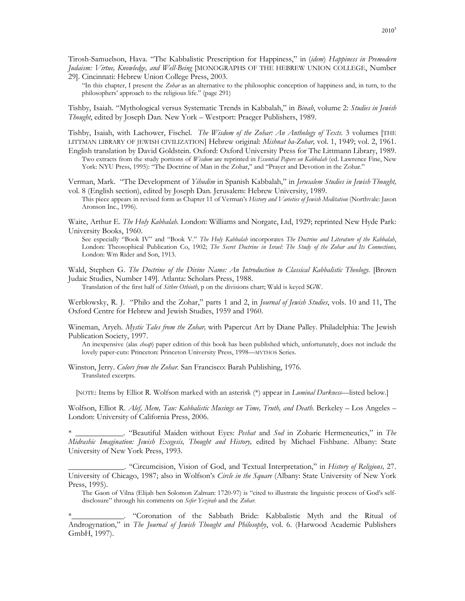Tirosh-Samuelson, Hava. "The Kabbalistic Prescription for Happiness," in (*idem*) *Happiness in Premodern Judaism: Virtue, Knowledge, and Well-Being* [MONOGRAPHS OF THE HEBREW UNION COLLEGE, Number 29]. Cincinnati: Hebrew Union College Press, 2003.

"In this chapter, I present the *Zohar* as an alternative to the philosophic conception of happiness and, in turn, to the philosophers' approach to the religious life." (page 291)

Tishby, Isaiah. "Mythological versus Systematic Trends in Kabbalah," in *Binah*, volume 2: *Studies in Jewish Thought*, edited by Joseph Dan. New York – Westport: Praeger Publishers, 1989.

Tishby, Isaiah, with Lachower, Fischel. *The Wisdom of the Zohar: An Anthology of Texts.* 3 volumes [THE LITTMAN LIBRARY OF JEWISH CIVILIZATION] Hebrew original: *Mishnat ha-Zohar,* vol. 1, 1949; vol. 2, 1961.

English translation by David Goldstein. Oxford: Oxford University Press for The Littmann Library, 1989. Two extracts from the study portions of *Wisdom* are reprinted in *Essential Papers on Kabbalah* (ed. Lawrence Fine, New York: NYU Press, 1995): "The Doctrine of Man in the Zohar," and "Prayer and Devotion in the Zohar."

Verman, Mark. "The Development of *Yihudim* in Spanish Kabbalah," in *Jerusalem Studies in Jewish Thought,*  vol. 8 (English section), edited by Joseph Dan. Jerusalem: Hebrew University, 1989.

This piece appears in revised form as Chapter 11 of Verman's *History and Varieties of Jewish Meditation* (Northvale: Jason Aronson Inc., 1996).

Waite, Arthur E. *The Holy Kabbalah.* London: Williams and Norgate, Ltd, 1929; reprinted New Hyde Park: University Books, 1960.

See especially "Book IV" and "Book V." *The Holy Kabbalah* incorporates *The Doctrine and Literature of the Kabbalah*, London: Theosophical Publication Co, 1902; *The Secret Doctrine in Israel: The Study of the Zohar and Its Connections,*  London: Wm Rider and Son, 1913.

Wald, Stephen G. *The Doctrine of the Divine Name: An Introduction to Classical Kabbalistic Theology.* [Brown Judaic Studies, Number 149]. Atlanta: Scholars Press, 1988.

Translation of the first half of *Sithre Othioth*, p on the divisions chart; Wald is keyed SGW.

Werblowsky, R. J. "Philo and the Zohar," parts 1 and 2, in *Journal of Jewish Studies*, vols. 10 and 11, The Oxford Centre for Hebrew and Jewish Studies, 1959 and 1960.

Wineman, Aryeh. *Mystic Tales from the Zohar,* with Papercut Art by Diane Palley. Philadelphia: The Jewish Publication Society, 1997.

An inexpensive (alas *cheap*) paper edition of this book has been published which, unfortunately, does not include the lovely paper-cuts: Princeton: Princeton University Press, 1998—MYTHOS Series.

Winston, Jerry. *Colors from the Zohar.* San Francisco: Barah Publishing, 1976. Translated excerpts.

[NOTE: Items by Elliot R. Wolfson marked with an asterisk (\*) appear in *Luminal Darkness—*listed below.]

Wolfson, Elliot R. *Alef, Mem, Tau: Kabbalistic Musings on Time, Truth, and Death*. Berkeley – Los Angeles – London: University of California Press, 2006.

\* \_\_\_\_\_\_\_\_\_\_\_\_. "Beautiful Maiden without Eyes: *Peshat* and *Sod* in Zoharic Hermeneutics," in *The Midrashic Imagination: Jewish Exegesis, Thought and History,* edited by Michael Fishbane. Albany: State University of New York Press, 1993.

\_\_\_\_\_\_\_\_\_\_\_\_\_\_. "Circumcision, Vision of God, and Textual Interpretation," in *History of Religions,* 27. University of Chicago, 1987; also in Wolfson's *Circle in the Square* (Albany: State University of New York Press, 1995).

The Gaon of Vilna (Elijah ben Solomon Zalman: 1720-97) is "cited to illustrate the linguistic process of God's selfdisclosure" through his comments on *Sefer Yezirah* and the *Zohar*.

\*\_\_\_\_\_\_\_\_\_\_\_\_\_. "Coronation of the Sabbath Bride: Kabbalistic Myth and the Ritual of Androgynation," in *The Journal of Jewish Thought and Philosophy*, vol. 6. (Harwood Academic Publishers GmbH, 1997).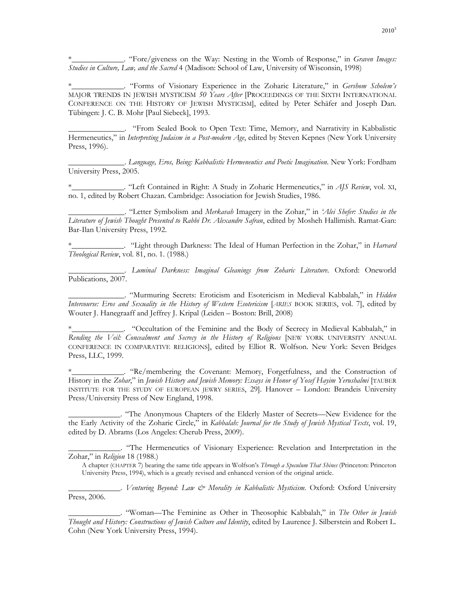\*\_\_\_\_\_\_\_\_\_\_\_\_\_. "Fore/giveness on the Way: Nesting in the Womb of Response," in *Graven Images: Studies in Culture, Law, and the Sacred* 4 (Madison: School of Law, University of Wisconsin, 1998)

\*\_\_\_\_\_\_\_\_\_\_\_\_\_. "Forms of Visionary Experience in the Zoharic Literature," in *Gershom Scholem's*  MAJOR TRENDS IN JEWISH MYSTICISM *50 Years After* [PROCEEDINGS OF THE SIXTH INTERNATIONAL CONFERENCE ON THE HISTORY OF JEWISH MYSTICISM], edited by Peter Schäfer and Joseph Dan. Tübingen: J. C. B. Mohr [Paul Siebeck], 1993.

\_\_\_\_\_\_\_\_\_\_\_\_\_\_. "From Sealed Book to Open Text: Time, Memory, and Narrativity in Kabbalistic Hermeneutics," in *Interpreting Judaism in a Post-modern Age*, edited by Steven Kepnes (New York University Press, 1996).

\_\_\_\_\_\_\_\_\_\_\_\_\_\_. *Language, Eros, Being: Kabbalistic Hermeneutics and Poetic Imagination*. New York: Fordham University Press, 2005.

\*\_\_\_\_\_\_\_\_\_\_\_\_\_. "Left Contained in Right: A Study in Zoharic Hermeneutics," in *AJS Review*, vol. XI, no. 1, edited by Robert Chazan. Cambridge: Association for Jewish Studies, 1986.

\_\_\_\_\_\_\_\_\_\_\_\_\_\_. "Letter Symbolism and *Merkavah* Imagery in the Zohar," in *'Alei Shefer: Studies in the Literature of Jewish Thought Presented to Rabbi Dr. Alexandre Safran*, edited by Mosheh Hallimish. Ramat-Gan: Bar-Ilan University Press, 1992.

\*\_\_\_\_\_\_\_\_\_\_\_\_\_. "Light through Darkness: The Ideal of Human Perfection in the Zohar," in *Harvard Theological Review*, vol. 81, no. 1. (1988.)

\_\_\_\_\_\_\_\_\_\_\_\_\_\_. *Luminal Darkness: Imaginal Gleanings from Zoharic Literature*. Oxford: Oneworld Publications, 2007.

\_\_\_\_\_\_\_\_\_\_\_\_\_\_. "Murmuring Secrets: Eroticism and Esotericism in Medieval Kabbalah," in *Hidden Intercourse: Eros and Sexuality in the History of Western Esotericism* [*ARIES* BOOK SERIES, vol. 7], edited by Wouter J. Hanegraaff and Jeffrey J. Kripal (Leiden – Boston: Brill, 2008)

. "Occultation of the Feminine and the Body of Secrecy in Medieval Kabbalah," in Rending the Veil: Concealment and Secrecy in the History of Religions [NEW YORK UNIVERSITY ANNUAL CONFERENCE IN COMPARATIVE RELIGIONS], edited by Elliot R. Wolfson. New York: Seven Bridges Press, LLC, 1999.

\*\_\_\_\_\_\_\_\_\_\_\_\_\_. "Re/membering the Covenant: Memory, Forgetfulness, and the Construction of History in the *Zohar*," in *Jewish History and Jewish Memory: Essays in Honor of Yosef Hayim Yerushalmi* [TAUBER INSTITUTE FOR THE STUDY OF EUROPEAN JEWRY SERIES, 29]. Hanover – London: Brandeis University Press/University Press of New England, 1998.

\_\_\_\_\_\_\_\_\_\_\_\_\_. "The Anonymous Chapters of the Elderly Master of Secrets—New Evidence for the the Early Activity of the Zoharic Circle," in *Kabbalah: Journal for the Study of Jewish Mystical Texts*, vol. 19, edited by D. Abrams (Los Angeles: Cherub Press, 2009).

\_\_\_\_\_\_\_\_\_\_\_\_\_. "The Hermeneutics of Visionary Experience: Revelation and Interpretation in the Zohar," in *Religion* 18 (1988.)

A chapter (CHAPTER 7) bearing the same title appears in Wolfson's *Through a Speculum That Shines* (Princeton: Princeton University Press, 1994), which is a greatly revised and enhanced version of the original article.

\_\_\_\_\_\_\_\_\_\_\_\_\_. *Venturing Beyond: Law & Morality in Kabbalistic Mysticism*. Oxford: Oxford University Press, 2006.

\_\_\_\_\_\_\_\_\_\_\_\_\_. "Woman—The Feminine as Other in Theosophic Kabbalah," in *The Other in Jewish Thought and History: Constructions of Jewish Culture and Identity*, edited by Laurence J. Silberstein and Robert L. Cohn (New York University Press, 1994).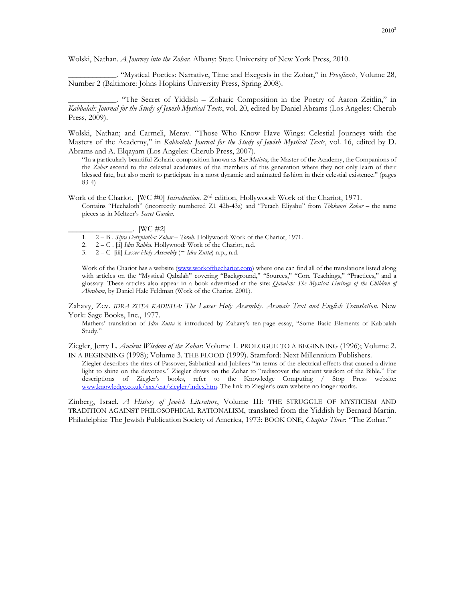Wolski, Nathan. *A Journey into the Zohar*. Albany: State University of New York Press, 2010.

\_\_\_\_\_\_\_\_\_\_\_\_. "Mystical Poetics: Narrative, Time and Exegesis in the Zohar," in *Prooftexts*, Volume 28, Number 2 (Baltimore: Johns Hopkins University Press, Spring 2008).

\_\_\_\_\_\_\_\_\_\_\_\_. "The Secret of Yiddish – Zoharic Composition in the Poetry of Aaron Zeitlin," in *Kabbalah: Journal for the Study of Jewish Mystical Texts*, vol. 20, edited by Daniel Abrams (Los Angeles: Cherub Press, 2009).

Wolski, Nathan; and Carmeli, Merav. "Those Who Know Have Wings: Celestial Journeys with the Masters of the Academy," in *Kabbalah: Journal for the Study of Jewish Mystical Texts*, vol. 16, edited by D. Abrams and A. Elqayam (Los Angeles: Cherub Press, 2007).

"In a particularly beautiful Zoharic composition known as *Rav Metivta*, the Master of the Academy, the Companions of the *Zohar* ascend to the celestial academies of the members of this generation where they not only learn of their blessed fate, but also merit to participate in a most dynamic and animated fashion in their celestial existence." (pages 83-4)

Work of the Chariot. [WC #0] *Introduction.* 2nd edition, Hollywood: Work of the Chariot, 1971. Contains "Hechaloth" (incorrectly numbered Z1 42b-43a) and "Petach Eliyahu" from *Tikkunei Zohar* – the same pieces as in Meltzer's *Secret Garden.*

 $\lbrack$ . [WC #2]

- 1. 2 B . *Sifra Detzniutha: Zohar Torah.* Hollywood: Work of the Chariot, 1971.
- 2. 2 C . [ii] *Idra Rabba.* Hollywood: Work of the Chariot, n.d.
- 3. 2 C [iii] *Lesser Holy Assembly* (= *Idra Zutta*) n.p., n.d.

Work of the Chariot has a website (www.workofthechariot.com) where one can find all of the translations listed along with articles on the "Mystical Qabalah" covering "Background," "Sources," "Core Teachings," "Practices," and a glossary. These articles also appear in a book advertised at the site: *Qabalah: The Mystical Heritage of the Children of Abraham*, by Daniel Hale Feldman (Work of the Chariot, 2001).

Zahavy, Zev. *IDRA ZUTA KADISHA: The Lesser Holy Assembly. Arsmaic Text and English Translation*. New York: Sage Books, Inc., 1977.

Mathers' translation of *Idra Zutta* is introduced by Zahavy's ten-page essay, "Some Basic Elements of Kabbalah Study."

Ziegler, Jerry L. *Ancient Wisdom of the Zohar*: Volume 1. PROLOGUE TO A BEGINNING (1996); Volume 2. IN A BEGINNING (1998); Volume 3. THE FLOOD (1999). Stamford: Next Millennium Publishers.

Ziegler describes the rites of Passover, Sabbatical and Jubilees "in terms of the electrical effects that caused a divine light to shine on the devotees." Ziegler draws on the Zohar to "rediscover the ancient wisdom of the Bible." For descriptions of Ziegler's books, refer to the Knowledge Computing / Stop Press website: www.knowledge.co.uk/xxx/cat/ziegler/index.htm. The link to Ziegler's own website no longer works.

Zinberg, Israel. *A History of Jewish Literature*, Volume III: THE STRUGGLE OF MYSTICISM AND TRADITION AGAINST PHILOSOPHICAL RATIONALISM, translated from the Yiddish by Bernard Martin. Philadelphia: The Jewish Publication Society of America, 1973: BOOK ONE, *Chapter Three*: "The Zohar."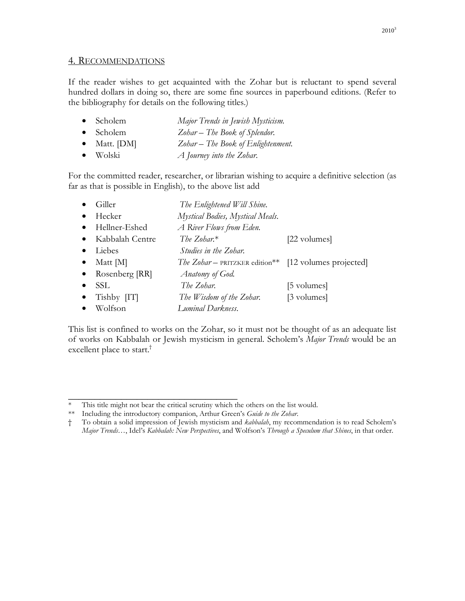### 4. RECOMMENDATIONS

If the reader wishes to get acquainted with the Zohar but is reluctant to spend several hundred dollars in doing so, there are some fine sources in paperbound editions. (Refer to the bibliography for details on the following titles.)

| $\bullet$ Scholem    | Major Trends in Jewish Mysticism.  |
|----------------------|------------------------------------|
| $\bullet$ Scholem    | Zohar – The Book of Splendor.      |
| $\bullet$ Matt. [DM] | Zohar - The Book of Enlightenment. |
| $\bullet$ Wolski     | A Journey into the Zohar.          |

For the committed reader, researcher, or librarian wishing to acquire a definitive selection (as far as that is possible in English), to the above list add

|           | Giller          | The Enlightened Will Shine.                           |              |
|-----------|-----------------|-------------------------------------------------------|--------------|
|           | Hecker          | Mystical Bodies, Mystical Meals.                      |              |
| $\bullet$ | Hellner-Eshed   | A River Flows from Eden.                              |              |
| $\bullet$ | Kabbalah Centre | The Zohar. $*$                                        | [22 volumes] |
|           | Liebes          | Studies in the Zohar.                                 |              |
| $\bullet$ | Matt [M]        | The Zohar - PRITZKER edition** [12 volumes projected] |              |
| $\bullet$ | Rosenberg [RR]  | Anatomy of God.                                       |              |
|           | <b>SSL</b>      | The Zohar.                                            | [5 volumes]  |
| $\bullet$ | $Tishby$ $[T]$  | The Wisdom of the Zohar.                              | [3 volumes]  |
|           | Wolfson         | Luminal Darkness.                                     |              |

This list is confined to works on the Zohar, so it must not be thought of as an adequate list of works on Kabbalah or Jewish mysticism in general. Scholem's *Major Trends* would be an excellent place to start.<sup>†</sup>

\_\_\_\_\_\_\_\_\_\_\_\_\_\_\_\_\_\_\_\_\_\_\_\_\_\_\_\_\_\_\_\_

This title might not bear the critical scrutiny which the others on the list would.

<sup>\*\*</sup> Including the introductory companion, Arthur Green's *Guide to the Zohar*.

<sup>†</sup> To obtain a solid impression of Jewish mysticism and *kabbalah*, my recommendation is to read Scholem's *Major Trends…*, Idel's *Kabbalah: New Perspectives*, and Wolfson's *Through a Speculum that Shines*, in that order.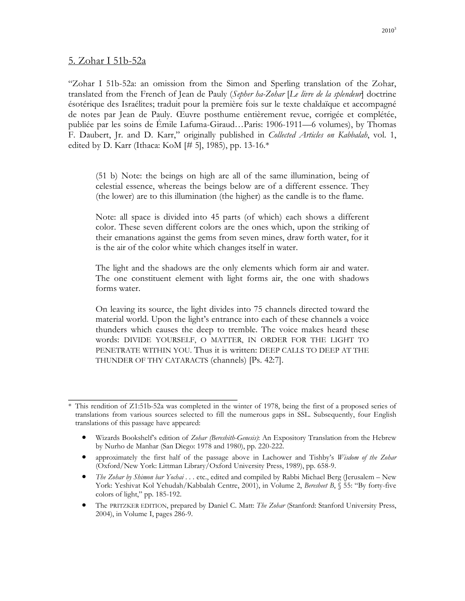### 5. Zohar I 51b-52a

"Zohar I 51b-52a: an omission from the Simon and Sperling translation of the Zohar, translated from the French of Jean de Pauly (*Sepher ha-Zohar* [*Le livre de la splendeur*] doctrine ésotérique des Israélites; traduit pour la première fois sur le texte chaldaïque et accompagné de notes par Jean de Pauly. Œuvre posthume entièrement revue, corrigée et complétée, publiée par les soins de Émile Lafuma-Giraud…Paris: 1906-1911—6 volumes), by Thomas F. Daubert, Jr. and D. Karr," originally published in *Collected Articles on Kabbalah*, vol. 1, edited by D. Karr (Ithaca: KoM  $[\# 5]$ , 1985), pp. 13-16. $*$ 

(51 b) Note: the beings on high are all of the same illumination, being of celestial essence, whereas the beings below are of a different essence. They (the lower) are to this illumination (the higher) as the candle is to the flame.

Note: all space is divided into 45 parts (of which) each shows a different color. These seven different colors are the ones which, upon the striking of their emanations against the gems from seven mines, draw forth water, for it is the air of the color white which changes itself in water.

The light and the shadows are the only elements which form air and water. The one constituent element with light forms air, the one with shadows forms water.

On leaving its source, the light divides into 75 channels directed toward the material world. Upon the light's entrance into each of these channels a voice thunders which causes the deep to tremble. The voice makes heard these words: DIVIDE YOURSELF, O MATTER, IN ORDER FOR THE LIGHT TO PENETRATE WITHIN YOU. Thus it is written: DEEP CALLS TO DEEP AT THE THUNDER OF THY CATARACTS (channels) [Ps. 42:7].

\_\_\_\_\_\_\_\_\_\_\_\_\_\_\_\_\_\_\_\_\_\_\_\_\_\_\_\_\_\_\_\_

- Wizards Bookshelf's edition of *Zohar (Bereshith-Genesis)*: An Expository Translation from the Hebrew by Nurho de Manhar (San Diego: 1978 and 1980), pp. 220-222.
- approximately the first half of the passage above in Lachower and Tishby's *Wisdom of the Zohar* (Oxford/New York: Littman Library/Oxford University Press, 1989), pp. 658-9.
- *The Zohar by Shimon bar Yochai* . . . etc., edited and compiled by Rabbi Michael Berg (Jerusalem New York: Yeshivat Kol Yehudah/Kabbalah Centre, 2001), in Volume 2, *Beresheet B*, § 55: "By forty-five colors of light," pp. 185-192.
- The PRITZKER EDITION, prepared by Daniel C. Matt: *The Zohar* (Stanford: Stanford University Press, 2004), in Volume I, pages 286-9.

<sup>\*</sup> This rendition of Z1:51b-52a was completed in the winter of 1978, being the first of a proposed series of translations from various sources selected to fill the numerous gaps in SSL. Subsequently, four English translations of this passage have appeared: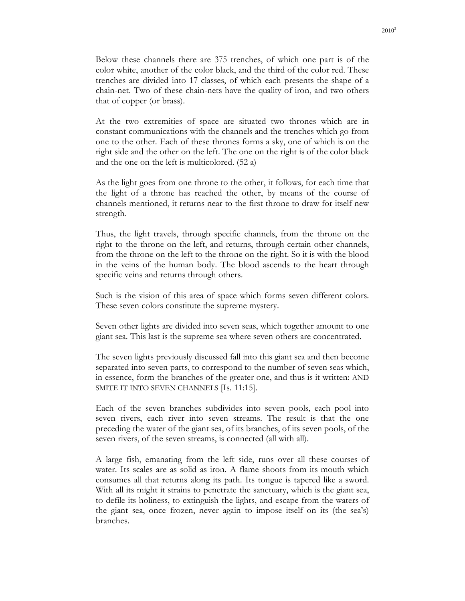Below these channels there are 375 trenches, of which one part is of the color white, another of the color black, and the third of the color red. These trenches are divided into 17 classes, of which each presents the shape of a chain-net. Two of these chain-nets have the quality of iron, and two others that of copper (or brass).

At the two extremities of space are situated two thrones which are in constant communications with the channels and the trenches which go from one to the other. Each of these thrones forms a sky, one of which is on the right side and the other on the left. The one on the right is of the color black and the one on the left is multicolored. (52 a)

As the light goes from one throne to the other, it follows, for each time that the light of a throne has reached the other, by means of the course of channels mentioned, it returns near to the first throne to draw for itself new strength.

Thus, the light travels, through specific channels, from the throne on the right to the throne on the left, and returns, through certain other channels, from the throne on the left to the throne on the right. So it is with the blood in the veins of the human body. The blood ascends to the heart through specific veins and returns through others.

Such is the vision of this area of space which forms seven different colors. These seven colors constitute the supreme mystery.

Seven other lights are divided into seven seas, which together amount to one giant sea. This last is the supreme sea where seven others are concentrated.

The seven lights previously discussed fall into this giant sea and then become separated into seven parts, to correspond to the number of seven seas which, in essence, form the branches of the greater one, and thus is it written: AND SMITE IT INTO SEVEN CHANNELS [Is. 11:15].

Each of the seven branches subdivides into seven pools, each pool into seven rivers, each river into seven streams. The result is that the one preceding the water of the giant sea, of its branches, of its seven pools, of the seven rivers, of the seven streams, is connected (all with all).

A large fish, emanating from the left side, runs over all these courses of water. Its scales are as solid as iron. A flame shoots from its mouth which consumes all that returns along its path. Its tongue is tapered like a sword. With all its might it strains to penetrate the sanctuary, which is the giant sea, to defile its holiness, to extinguish the lights, and escape from the waters of the giant sea, once frozen, never again to impose itself on its (the sea's) branches.